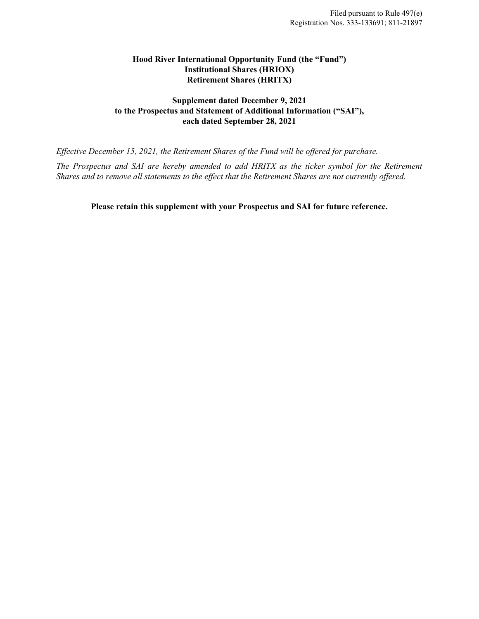# **Hood River International Opportunity Fund (the "Fund") Institutional Shares (HRIOX) Retirement Shares (HRITX)**

# **Supplement dated December 9, 2021 to the Prospectus and Statement of Additional Information ("SAI"), each dated September 28, 2021**

*Effective December 15, 2021, the Retirement Shares of the Fund will be offered for purchase.* 

*The Prospectus and SAI are hereby amended to add HRITX as the ticker symbol for the Retirement Shares and to remove all statements to the effect that the Retirement Shares are not currently offered.*

**Please retain this supplement with your Prospectus and SAI for future reference.**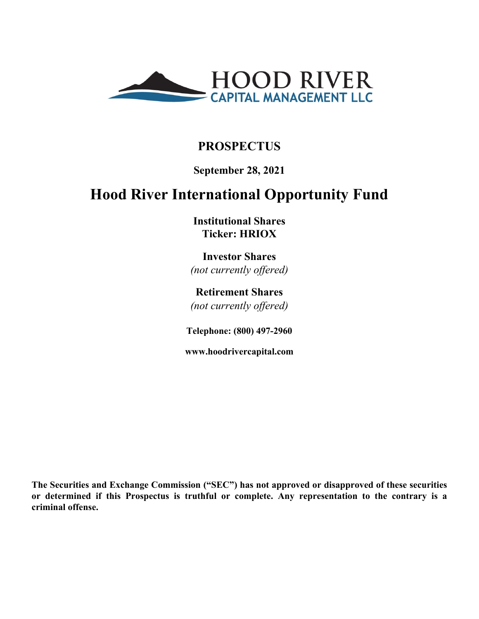

# **PROSPECTUS**

# **September 28, 2021**

# **Hood River International Opportunity Fund**

**Institutional Shares Ticker: HRIOX**

**Investor Shares** *(not currently offered)*

**Retirement Shares** *(not currently offered)*

**Telephone: (800) 497-2960**

**www.hoodrivercapital.com**

**The Securities and Exchange Commission ("SEC") has not approved or disapproved of these securities or determined if this Prospectus is truthful or complete. Any representation to the contrary is a criminal offense.**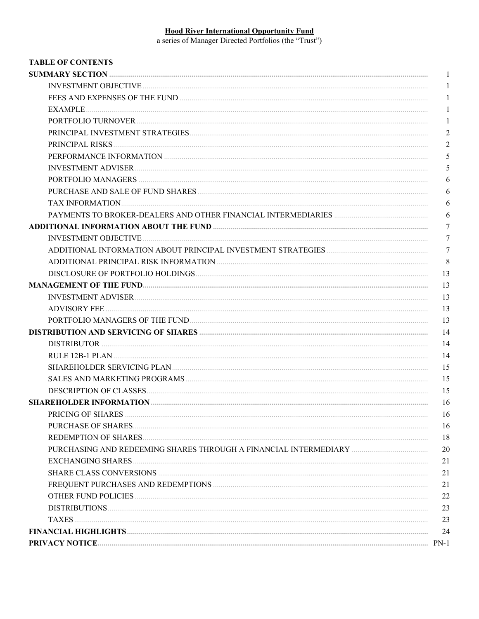Hood River International Opportunity Fund<br>a series of Manager Directed Portfolios (the "Trust")

| <b>TABLE OF CONTENTS</b>                                         |                |
|------------------------------------------------------------------|----------------|
|                                                                  | 1              |
|                                                                  | 1              |
|                                                                  | 1              |
|                                                                  | 1              |
|                                                                  | 1              |
|                                                                  | $\overline{2}$ |
|                                                                  | $\overline{2}$ |
|                                                                  | 5              |
|                                                                  | 5              |
|                                                                  | 6              |
|                                                                  | 6              |
|                                                                  | 6              |
|                                                                  | 6              |
|                                                                  | $\overline{7}$ |
|                                                                  | $\overline{7}$ |
|                                                                  | $\overline{7}$ |
|                                                                  | 8              |
|                                                                  | 13             |
|                                                                  | 13             |
|                                                                  | 13             |
|                                                                  | 13             |
|                                                                  | 13             |
|                                                                  | 14             |
|                                                                  | -14            |
|                                                                  | 14             |
|                                                                  | 15             |
|                                                                  | 15             |
|                                                                  | 15             |
|                                                                  | -16            |
|                                                                  | 16             |
|                                                                  | 16             |
|                                                                  | 18             |
| PURCHASING AND REDEEMING SHARES THROUGH A FINANCIAL INTERMEDIARY | 20             |
|                                                                  | 21             |
|                                                                  | 21             |
|                                                                  | 21             |
|                                                                  | 22             |
|                                                                  | 23             |
|                                                                  | 23             |
|                                                                  | 24             |
|                                                                  |                |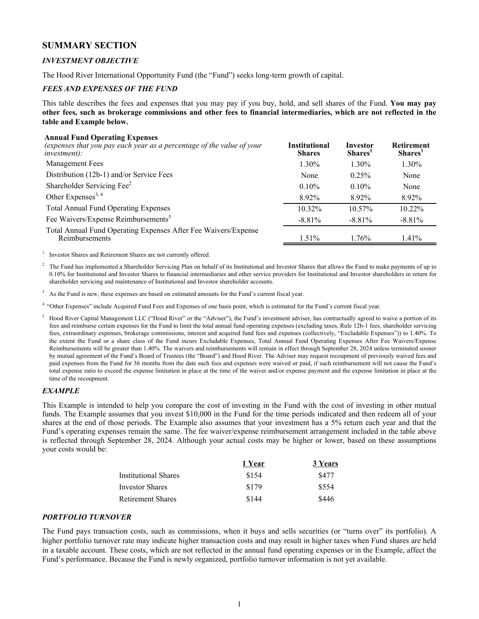# <span id="page-3-0"></span>**SUMMARY SECTION**

#### *INVESTMENT OBJECTIVE*

The Hood River International Opportunity Fund (the "Fund") seeks long-term growth of capital.

#### *FEES AND EXPENSES OF THE FUND*

This table describes the fees and expenses that you may pay if you buy, hold, and sell shares of the Fund. **You may pay other fees, such as brokerage commissions and other fees to financial intermediaries, which are not reflected in the table and Example below.**

#### **Annual Fund Operating Expenses**

| (expenses that you pay each year as a percentage of the value of your<br>$inves$ then the investment): | Institutional<br><b>Shares</b> | Investor<br>Shares <sup>1</sup> | <b>Retirement</b><br>Shares <sup>1</sup> |
|--------------------------------------------------------------------------------------------------------|--------------------------------|---------------------------------|------------------------------------------|
| <b>Management Fees</b>                                                                                 | 1.30%                          | 1.30%                           | 1.30%                                    |
| Distribution (12b-1) and/or Service Fees                                                               | None                           | $0.25\%$                        | None                                     |
| Shareholder Servicing Fee <sup>2</sup>                                                                 | $0.10\%$                       | 0.10%                           | None                                     |
| Other Expenses <sup>3, 4</sup>                                                                         | 8.92%                          | 8.92%                           | 8.92%                                    |
| <b>Total Annual Fund Operating Expenses</b>                                                            | 10.32%                         | 10.57%                          | 10.22%                                   |
| Fee Waivers/Expense Reimbursements <sup>5</sup>                                                        | $-8.81\%$                      | $-8.81\%$                       | $-8.81\%$                                |
| Total Annual Fund Operating Expenses After Fee Waivers/Expense<br>Reimbursements                       | $1.51\%$                       | 1.76%                           | 1.41%                                    |

1 Investor Shares and Retirement Shares are not currently offered.

2 The Fund has implemented a Shareholder Servicing Plan on behalf of its Institutional and Investor Shares that allows the Fund to make payments of up to 0.10% for Institutional and Investor Shares to financial intermediaries and other service providers for Institutional and Investor shareholders in return for shareholder servicing and maintenance of Institutional and Investor shareholder accounts.

<sup>3</sup> As the Fund is new, these expenses are based on estimated amounts for the Fund's current fiscal year.

<sup>4</sup>"Other Expenses" include Acquired Fund Fees and Expenses of one basis point, which is estimated for the Fund's current fiscal year.

Hood River Capital Management LLC ("Hood River" or the "Adviser"), the Fund's investment adviser, has contractually agreed to waive a portion of its fees and reimburse certain expenses for the Fund to limit the total annual fund operating expenses (excluding taxes, Rule 12b-1 fees, shareholder servicing fees, extraordinary expenses, brokerage commissions, interest and acquired fund fees and expenses (collectively, "Excludable Expenses")) to 1.40%. To the extent the Fund or a share class of the Fund incurs Excludable Expenses, Total Annual Fund Operating Expenses After Fee Waivers/Expense Reimbursements will be greater than 1.40%. The waivers and reimbursements will remain in effect through September 28, 2024 unless terminated sooner by mutual agreement of the Fund's Board of Trustees (the "Board") and Hood River. The Adviser may request recoupment of previously waived fees and paid expenses from the Fund for 36 months from the date such fees and expenses were waived or paid, if such reimbursement will not cause the Fund's total expense ratio to exceed the expense limitation in place at the time of the waiver and/or expense payment and the expense limitation in place at the time of the recoupment.

#### *EXAMPLE*

This Example is intended to help you compare the cost of investing in the Fund with the cost of investing in other mutual funds. The Example assumes that you invest \$10,000 in the Fund for the time periods indicated and then redeem all of your shares at the end of those periods. The Example also assumes that your investment has a 5% return each year and that the Fund's operating expenses remain the same. The fee waiver/expense reimbursement arrangement included in the table above is reflected through September 28, 2024. Although your actual costs may be higher or lower, based on these assumptions your costs would be:

|                        | 1 Year | 3 Years |
|------------------------|--------|---------|
| Institutional Shares   | \$154  | \$477   |
| <b>Investor Shares</b> | \$179  | \$554   |
| Retirement Shares      | \$144  | \$446   |

#### *PORTFOLIO TURNOVER*

The Fund pays transaction costs, such as commissions, when it buys and sells securities (or "turns over" its portfolio). A higher portfolio turnover rate may indicate higher transaction costs and may result in higher taxes when Fund shares are held in a taxable account. These costs, which are not reflected in the annual fund operating expenses or in the Example, affect the Fund's performance. Because the Fund is newly organized, portfolio turnover information is not yet available.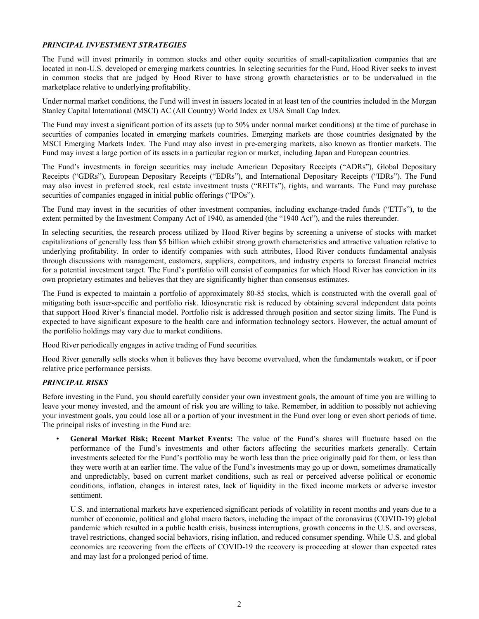#### <span id="page-4-0"></span>*PRINCIPAL INVESTMENT STRATEGIES*

The Fund will invest primarily in common stocks and other equity securities of small-capitalization companies that are located in non-U.S. developed or emerging markets countries. In selecting securities for the Fund, Hood River seeks to invest in common stocks that are judged by Hood River to have strong growth characteristics or to be undervalued in the marketplace relative to underlying profitability.

Under normal market conditions, the Fund will invest in issuers located in at least ten of the countries included in the Morgan Stanley Capital International (MSCI) AC (All Country) World Index ex USA Small Cap Index.

The Fund may invest a significant portion of its assets (up to 50% under normal market conditions) at the time of purchase in securities of companies located in emerging markets countries. Emerging markets are those countries designated by the MSCI Emerging Markets Index. The Fund may also invest in pre-emerging markets, also known as frontier markets. The Fund may invest a large portion of its assets in a particular region or market, including Japan and European countries.

The Fund's investments in foreign securities may include American Depositary Receipts ("ADRs"), Global Depositary Receipts ("GDRs"), European Depositary Receipts ("EDRs"), and International Depositary Receipts ("IDRs"). The Fund may also invest in preferred stock, real estate investment trusts ("REITs"), rights, and warrants. The Fund may purchase securities of companies engaged in initial public offerings ("IPOs").

The Fund may invest in the securities of other investment companies, including exchange-traded funds ("ETFs"), to the extent permitted by the Investment Company Act of 1940, as amended (the "1940 Act"), and the rules thereunder.

In selecting securities, the research process utilized by Hood River begins by screening a universe of stocks with market capitalizations of generally less than \$5 billion which exhibit strong growth characteristics and attractive valuation relative to underlying profitability. In order to identify companies with such attributes, Hood River conducts fundamental analysis through discussions with management, customers, suppliers, competitors, and industry experts to forecast financial metrics for a potential investment target. The Fund's portfolio will consist of companies for which Hood River has conviction in its own proprietary estimates and believes that they are significantly higher than consensus estimates.

The Fund is expected to maintain a portfolio of approximately 80-85 stocks, which is constructed with the overall goal of mitigating both issuer-specific and portfolio risk. Idiosyncratic risk is reduced by obtaining several independent data points that support Hood River's financial model. Portfolio risk is addressed through position and sector sizing limits. The Fund is expected to have significant exposure to the health care and information technology sectors. However, the actual amount of the portfolio holdings may vary due to market conditions.

Hood River periodically engages in active trading of Fund securities.

Hood River generally sells stocks when it believes they have become overvalued, when the fundamentals weaken, or if poor relative price performance persists.

#### *PRINCIPAL RISKS*

Before investing in the Fund, you should carefully consider your own investment goals, the amount of time you are willing to leave your money invested, and the amount of risk you are willing to take. Remember, in addition to possibly not achieving your investment goals, you could lose all or a portion of your investment in the Fund over long or even short periods of time. The principal risks of investing in the Fund are:

• **General Market Risk; Recent Market Events:** The value of the Fund's shares will fluctuate based on the performance of the Fund's investments and other factors affecting the securities markets generally. Certain investments selected for the Fund's portfolio may be worth less than the price originally paid for them, or less than they were worth at an earlier time. The value of the Fund's investments may go up or down, sometimes dramatically and unpredictably, based on current market conditions, such as real or perceived adverse political or economic conditions, inflation, changes in interest rates, lack of liquidity in the fixed income markets or adverse investor sentiment.

U.S. and international markets have experienced significant periods of volatility in recent months and years due to a number of economic, political and global macro factors, including the impact of the coronavirus (COVID-19) global pandemic which resulted in a public health crisis, business interruptions, growth concerns in the U.S. and overseas, travel restrictions, changed social behaviors, rising inflation, and reduced consumer spending. While U.S. and global economies are recovering from the effects of COVID-19 the recovery is proceeding at slower than expected rates and may last for a prolonged period of time.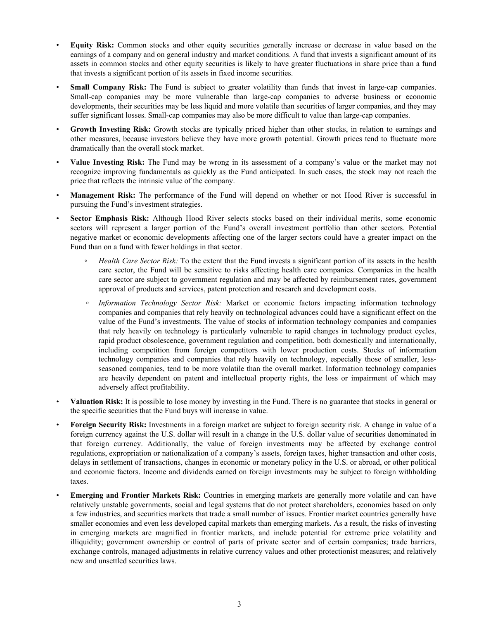- **Equity Risk:** Common stocks and other equity securities generally increase or decrease in value based on the earnings of a company and on general industry and market conditions. A fund that invests a significant amount of its assets in common stocks and other equity securities is likely to have greater fluctuations in share price than a fund that invests a significant portion of its assets in fixed income securities.
- **Small Company Risk:** The Fund is subject to greater volatility than funds that invest in large-cap companies. Small-cap companies may be more vulnerable than large-cap companies to adverse business or economic developments, their securities may be less liquid and more volatile than securities of larger companies, and they may suffer significant losses. Small-cap companies may also be more difficult to value than large-cap companies.
- **Growth Investing Risk:** Growth stocks are typically priced higher than other stocks, in relation to earnings and other measures, because investors believe they have more growth potential. Growth prices tend to fluctuate more dramatically than the overall stock market.
- **Value Investing Risk:** The Fund may be wrong in its assessment of a company's value or the market may not recognize improving fundamentals as quickly as the Fund anticipated. In such cases, the stock may not reach the price that reflects the intrinsic value of the company.
- **Management Risk:** The performance of the Fund will depend on whether or not Hood River is successful in pursuing the Fund's investment strategies.
- **Sector Emphasis Risk:** Although Hood River selects stocks based on their individual merits, some economic sectors will represent a larger portion of the Fund's overall investment portfolio than other sectors. Potential negative market or economic developments affecting one of the larger sectors could have a greater impact on the Fund than on a fund with fewer holdings in that sector.
	- *Health Care Sector Risk:* To the extent that the Fund invests a significant portion of its assets in the health care sector, the Fund will be sensitive to risks affecting health care companies. Companies in the health care sector are subject to government regulation and may be affected by reimbursement rates, government approval of products and services, patent protection and research and development costs.
	- *◦ Information Technology Sector Risk:* Market or economic factors impacting information technology companies and companies that rely heavily on technological advances could have a significant effect on the value of the Fund's investments. The value of stocks of information technology companies and companies that rely heavily on technology is particularly vulnerable to rapid changes in technology product cycles, rapid product obsolescence, government regulation and competition, both domestically and internationally, including competition from foreign competitors with lower production costs. Stocks of information technology companies and companies that rely heavily on technology, especially those of smaller, lessseasoned companies, tend to be more volatile than the overall market. Information technology companies are heavily dependent on patent and intellectual property rights, the loss or impairment of which may adversely affect profitability.
- **Valuation Risk:** It is possible to lose money by investing in the Fund. There is no guarantee that stocks in general or the specific securities that the Fund buys will increase in value.
- **Foreign Security Risk:** Investments in a foreign market are subject to foreign security risk. A change in value of a foreign currency against the U.S. dollar will result in a change in the U.S. dollar value of securities denominated in that foreign currency. Additionally, the value of foreign investments may be affected by exchange control regulations, expropriation or nationalization of a company's assets, foreign taxes, higher transaction and other costs, delays in settlement of transactions, changes in economic or monetary policy in the U.S. or abroad, or other political and economic factors. Income and dividends earned on foreign investments may be subject to foreign withholding taxes.
- **Emerging and Frontier Markets Risk:** Countries in emerging markets are generally more volatile and can have relatively unstable governments, social and legal systems that do not protect shareholders, economies based on only a few industries, and securities markets that trade a small number of issues. Frontier market countries generally have smaller economies and even less developed capital markets than emerging markets. As a result, the risks of investing in emerging markets are magnified in frontier markets, and include potential for extreme price volatility and illiquidity; government ownership or control of parts of private sector and of certain companies; trade barriers, exchange controls, managed adjustments in relative currency values and other protectionist measures; and relatively new and unsettled securities laws.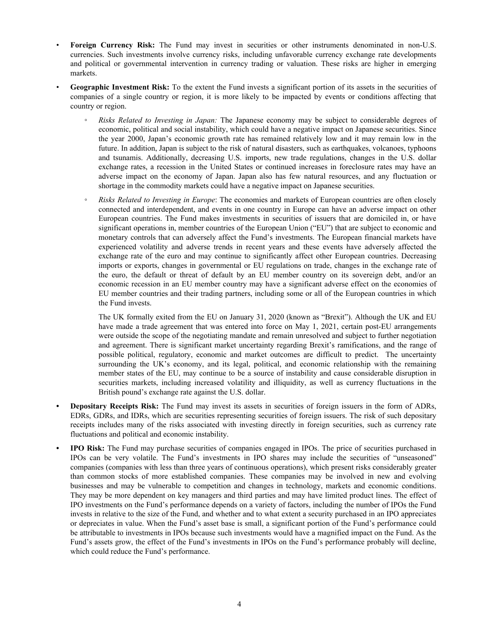- **Foreign Currency Risk:** The Fund may invest in securities or other instruments denominated in non-U.S. currencies. Such investments involve currency risks, including unfavorable currency exchange rate developments and political or governmental intervention in currency trading or valuation. These risks are higher in emerging markets.
- **Geographic Investment Risk:** To the extent the Fund invests a significant portion of its assets in the securities of companies of a single country or region, it is more likely to be impacted by events or conditions affecting that country or region.
	- *Risks Related to Investing in Japan:* The Japanese economy may be subject to considerable degrees of economic, political and social instability, which could have a negative impact on Japanese securities. Since the year 2000, Japan's economic growth rate has remained relatively low and it may remain low in the future. In addition, Japan is subject to the risk of natural disasters, such as earthquakes, volcanoes, typhoons and tsunamis. Additionally, decreasing U.S. imports, new trade regulations, changes in the U.S. dollar exchange rates, a recession in the United States or continued increases in foreclosure rates may have an adverse impact on the economy of Japan. Japan also has few natural resources, and any fluctuation or shortage in the commodity markets could have a negative impact on Japanese securities.
	- *◦ Risks Related to Investing in Europe*: The economies and markets of European countries are often closely connected and interdependent, and events in one country in Europe can have an adverse impact on other European countries. The Fund makes investments in securities of issuers that are domiciled in, or have significant operations in, member countries of the European Union ("EU") that are subject to economic and monetary controls that can adversely affect the Fund's investments. The European financial markets have experienced volatility and adverse trends in recent years and these events have adversely affected the exchange rate of the euro and may continue to significantly affect other European countries. Decreasing imports or exports, changes in governmental or EU regulations on trade, changes in the exchange rate of the euro, the default or threat of default by an EU member country on its sovereign debt, and/or an economic recession in an EU member country may have a significant adverse effect on the economies of EU member countries and their trading partners, including some or all of the European countries in which the Fund invests.

The UK formally exited from the EU on January 31, 2020 (known as "Brexit"). Although the UK and EU have made a trade agreement that was entered into force on May 1, 2021, certain post-EU arrangements were outside the scope of the negotiating mandate and remain unresolved and subject to further negotiation and agreement. There is significant market uncertainty regarding Brexit's ramifications, and the range of possible political, regulatory, economic and market outcomes are difficult to predict. The uncertainty surrounding the UK's economy, and its legal, political, and economic relationship with the remaining member states of the EU, may continue to be a source of instability and cause considerable disruption in securities markets, including increased volatility and illiquidity, as well as currency fluctuations in the British pound's exchange rate against the U.S. dollar.

- **• Depositary Receipts Risk:** The Fund may invest its assets in securities of foreign issuers in the form of ADRs, EDRs, GDRs, and IDRs, which are securities representing securities of foreign issuers. The risk of such depositary receipts includes many of the risks associated with investing directly in foreign securities, such as currency rate fluctuations and political and economic instability.
- **• IPO Risk:** The Fund may purchase securities of companies engaged in IPOs. The price of securities purchased in IPOs can be very volatile. The Fund's investments in IPO shares may include the securities of "unseasoned" companies (companies with less than three years of continuous operations), which present risks considerably greater than common stocks of more established companies. These companies may be involved in new and evolving businesses and may be vulnerable to competition and changes in technology, markets and economic conditions. They may be more dependent on key managers and third parties and may have limited product lines. The effect of IPO investments on the Fund's performance depends on a variety of factors, including the number of IPOs the Fund invests in relative to the size of the Fund, and whether and to what extent a security purchased in an IPO appreciates or depreciates in value. When the Fund's asset base is small, a significant portion of the Fund's performance could be attributable to investments in IPOs because such investments would have a magnified impact on the Fund. As the Fund's assets grow, the effect of the Fund's investments in IPOs on the Fund's performance probably will decline, which could reduce the Fund's performance.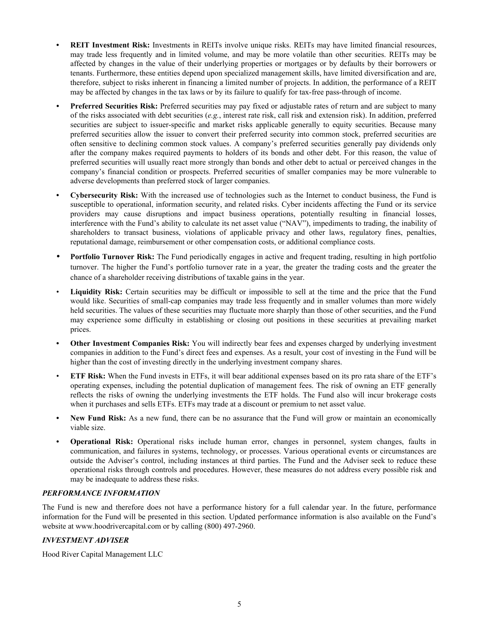- <span id="page-7-0"></span>**• REIT Investment Risk:** Investments in REITs involve unique risks. REITs may have limited financial resources, may trade less frequently and in limited volume, and may be more volatile than other securities. REITs may be affected by changes in the value of their underlying properties or mortgages or by defaults by their borrowers or tenants. Furthermore, these entities depend upon specialized management skills, have limited diversification and are, therefore, subject to risks inherent in financing a limited number of projects. In addition, the performance of a REIT may be affected by changes in the tax laws or by its failure to qualify for tax-free pass-through of income.
- *•* **Preferred Securities Risk:** Preferred securities may pay fixed or adjustable rates of return and are subject to many of the risks associated with debt securities (*e.g.*, interest rate risk, call risk and extension risk). In addition, preferred securities are subject to issuer-specific and market risks applicable generally to equity securities. Because many preferred securities allow the issuer to convert their preferred security into common stock, preferred securities are often sensitive to declining common stock values. A company's preferred securities generally pay dividends only after the company makes required payments to holders of its bonds and other debt. For this reason, the value of preferred securities will usually react more strongly than bonds and other debt to actual or perceived changes in the company's financial condition or prospects. Preferred securities of smaller companies may be more vulnerable to adverse developments than preferred stock of larger companies.
- **• Cybersecurity Risk:** With the increased use of technologies such as the Internet to conduct business, the Fund is susceptible to operational, information security, and related risks. Cyber incidents affecting the Fund or its service providers may cause disruptions and impact business operations, potentially resulting in financial losses, interference with the Fund's ability to calculate its net asset value ("NAV"), impediments to trading, the inability of shareholders to transact business, violations of applicable privacy and other laws, regulatory fines, penalties, reputational damage, reimbursement or other compensation costs, or additional compliance costs.
- *•* **Portfolio Turnover Risk:** The Fund periodically engages in active and frequent trading, resulting in high portfolio turnover. The higher the Fund's portfolio turnover rate in a year, the greater the trading costs and the greater the chance of a shareholder receiving distributions of taxable gains in the year.
- **Liquidity Risk:** Certain securities may be difficult or impossible to sell at the time and the price that the Fund would like. Securities of small-cap companies may trade less frequently and in smaller volumes than more widely held securities. The values of these securities may fluctuate more sharply than those of other securities, and the Fund may experience some difficulty in establishing or closing out positions in these securities at prevailing market prices.
- **• Other Investment Companies Risk:** You will indirectly bear fees and expenses charged by underlying investment companies in addition to the Fund's direct fees and expenses. As a result, your cost of investing in the Fund will be higher than the cost of investing directly in the underlying investment company shares.
- **ETF Risk:** When the Fund invests in ETFs, it will bear additional expenses based on its pro rata share of the ETF's operating expenses, including the potential duplication of management fees. The risk of owning an ETF generally reflects the risks of owning the underlying investments the ETF holds. The Fund also will incur brokerage costs when it purchases and sells ETFs. ETFs may trade at a discount or premium to net asset value.
- **New Fund Risk:** As a new fund, there can be no assurance that the Fund will grow or maintain an economically viable size.
- **Operational Risk:** Operational risks include human error, changes in personnel, system changes, faults in communication, and failures in systems, technology, or processes. Various operational events or circumstances are outside the Adviser's control, including instances at third parties. The Fund and the Adviser seek to reduce these operational risks through controls and procedures. However, these measures do not address every possible risk and may be inadequate to address these risks.

#### *PERFORMANCE INFORMATION*

The Fund is new and therefore does not have a performance history for a full calendar year. In the future, performance information for the Fund will be presented in this section. Updated performance information is also available on the Fund's website at www.hoodrivercapital.com or by calling (800) 497-2960.

#### *INVESTMENT ADVISER*

Hood River Capital Management LLC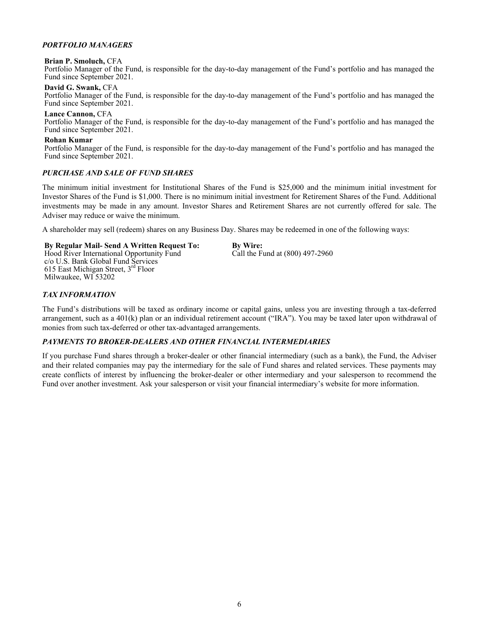#### <span id="page-8-0"></span>*PORTFOLIO MANAGERS*

#### **Brian P. Smoluch,** CFA

Portfolio Manager of the Fund, is responsible for the day-to-day management of the Fund's portfolio and has managed the Fund since September 2021.

**David G. Swank,** CFA

Portfolio Manager of the Fund, is responsible for the day-to-day management of the Fund's portfolio and has managed the Fund since September 2021.

**Lance Cannon,** CFA Portfolio Manager of the Fund, is responsible for the day-to-day management of the Fund's portfolio and has managed the Fund since September 2021.

#### **Rohan Kumar**

Portfolio Manager of the Fund, is responsible for the day-to-day management of the Fund's portfolio and has managed the Fund since September 2021.

#### *PURCHASE AND SALE OF FUND SHARES*

The minimum initial investment for Institutional Shares of the Fund is \$25,000 and the minimum initial investment for Investor Shares of the Fund is \$1,000. There is no minimum initial investment for Retirement Shares of the Fund. Additional investments may be made in any amount. Investor Shares and Retirement Shares are not currently offered for sale. The Adviser may reduce or waive the minimum.

A shareholder may sell (redeem) shares on any Business Day. Shares may be redeemed in one of the following ways:

#### **By Regular Mail- Send A Written Request To:**

Hood River International Opportunity Fund c/o U.S. Bank Global Fund Services 615 East Michigan Street, 3<sup>rd</sup> Floor Milwaukee, WI 53202

**By Wire:** Call the Fund at (800) 497-2960

#### *TAX INFORMATION*

The Fund's distributions will be taxed as ordinary income or capital gains, unless you are investing through a tax-deferred arrangement, such as a 401(k) plan or an individual retirement account ("IRA"). You may be taxed later upon withdrawal of monies from such tax-deferred or other tax-advantaged arrangements.

#### *PAYMENTS TO BROKER-DEALERS AND OTHER FINANCIAL INTERMEDIARIES*

If you purchase Fund shares through a broker-dealer or other financial intermediary (such as a bank), the Fund, the Adviser and their related companies may pay the intermediary for the sale of Fund shares and related services. These payments may create conflicts of interest by influencing the broker-dealer or other intermediary and your salesperson to recommend the Fund over another investment. Ask your salesperson or visit your financial intermediary's website for more information.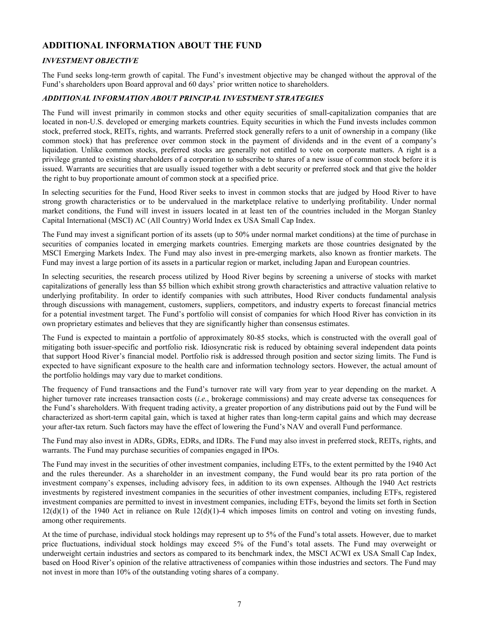# <span id="page-9-0"></span>**ADDITIONAL INFORMATION ABOUT THE FUND**

### *INVESTMENT OBJECTIVE*

The Fund seeks long-term growth of capital. The Fund's investment objective may be changed without the approval of the Fund's shareholders upon Board approval and 60 days' prior written notice to shareholders.

#### *ADDITIONAL INFORMATION ABOUT PRINCIPAL INVESTMENT STRATEGIES*

The Fund will invest primarily in common stocks and other equity securities of small-capitalization companies that are located in non-U.S. developed or emerging markets countries. Equity securities in which the Fund invests includes common stock, preferred stock, REITs, rights, and warrants. Preferred stock generally refers to a unit of ownership in a company (like common stock) that has preference over common stock in the payment of dividends and in the event of a company's liquidation. Unlike common stocks, preferred stocks are generally not entitled to vote on corporate matters. A right is a privilege granted to existing shareholders of a corporation to subscribe to shares of a new issue of common stock before it is issued. Warrants are securities that are usually issued together with a debt security or preferred stock and that give the holder the right to buy proportionate amount of common stock at a specified price.

In selecting securities for the Fund, Hood River seeks to invest in common stocks that are judged by Hood River to have strong growth characteristics or to be undervalued in the marketplace relative to underlying profitability. Under normal market conditions, the Fund will invest in issuers located in at least ten of the countries included in the Morgan Stanley Capital International (MSCI) AC (All Country) World Index ex USA Small Cap Index.

The Fund may invest a significant portion of its assets (up to 50% under normal market conditions) at the time of purchase in securities of companies located in emerging markets countries. Emerging markets are those countries designated by the MSCI Emerging Markets Index. The Fund may also invest in pre-emerging markets, also known as frontier markets. The Fund may invest a large portion of its assets in a particular region or market, including Japan and European countries.

In selecting securities, the research process utilized by Hood River begins by screening a universe of stocks with market capitalizations of generally less than \$5 billion which exhibit strong growth characteristics and attractive valuation relative to underlying profitability. In order to identify companies with such attributes, Hood River conducts fundamental analysis through discussions with management, customers, suppliers, competitors, and industry experts to forecast financial metrics for a potential investment target. The Fund's portfolio will consist of companies for which Hood River has conviction in its own proprietary estimates and believes that they are significantly higher than consensus estimates.

The Fund is expected to maintain a portfolio of approximately 80-85 stocks, which is constructed with the overall goal of mitigating both issuer-specific and portfolio risk. Idiosyncratic risk is reduced by obtaining several independent data points that support Hood River's financial model. Portfolio risk is addressed through position and sector sizing limits. The Fund is expected to have significant exposure to the health care and information technology sectors. However, the actual amount of the portfolio holdings may vary due to market conditions.

The frequency of Fund transactions and the Fund's turnover rate will vary from year to year depending on the market. A higher turnover rate increases transaction costs (*i.e.*, brokerage commissions) and may create adverse tax consequences for the Fund's shareholders. With frequent trading activity, a greater proportion of any distributions paid out by the Fund will be characterized as short-term capital gain, which is taxed at higher rates than long-term capital gains and which may decrease your after-tax return. Such factors may have the effect of lowering the Fund's NAV and overall Fund performance.

The Fund may also invest in ADRs, GDRs, EDRs, and IDRs. The Fund may also invest in preferred stock, REITs, rights, and warrants. The Fund may purchase securities of companies engaged in IPOs.

The Fund may invest in the securities of other investment companies, including ETFs, to the extent permitted by the 1940 Act and the rules thereunder. As a shareholder in an investment company, the Fund would bear its pro rata portion of the investment company's expenses, including advisory fees, in addition to its own expenses. Although the 1940 Act restricts investments by registered investment companies in the securities of other investment companies, including ETFs, registered investment companies are permitted to invest in investment companies, including ETFs, beyond the limits set forth in Section  $12(d)(1)$  of the 1940 Act in reliance on Rule  $12(d)(1)$ -4 which imposes limits on control and voting on investing funds, among other requirements.

At the time of purchase, individual stock holdings may represent up to 5% of the Fund's total assets. However, due to market price fluctuations, individual stock holdings may exceed 5% of the Fund's total assets. The Fund may overweight or underweight certain industries and sectors as compared to its benchmark index, the MSCI ACWI ex USA Small Cap Index, based on Hood River's opinion of the relative attractiveness of companies within those industries and sectors. The Fund may not invest in more than 10% of the outstanding voting shares of a company.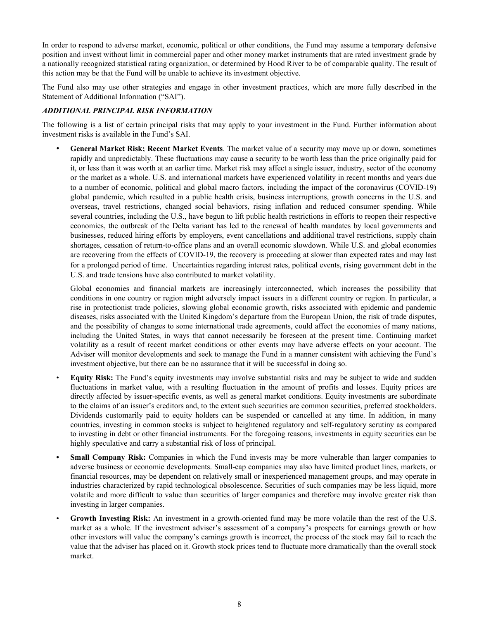<span id="page-10-0"></span>In order to respond to adverse market, economic, political or other conditions, the Fund may assume a temporary defensive position and invest without limit in commercial paper and other money market instruments that are rated investment grade by a nationally recognized statistical rating organization, or determined by Hood River to be of comparable quality. The result of this action may be that the Fund will be unable to achieve its investment objective.

The Fund also may use other strategies and engage in other investment practices, which are more fully described in the Statement of Additional Information ("SAI").

#### *ADDITIONAL PRINCIPAL RISK INFORMATION*

The following is a list of certain principal risks that may apply to your investment in the Fund. Further information about investment risks is available in the Fund's SAI.

• **General Market Risk; Recent Market Events***.* The market value of a security may move up or down, sometimes rapidly and unpredictably. These fluctuations may cause a security to be worth less than the price originally paid for it, or less than it was worth at an earlier time. Market risk may affect a single issuer, industry, sector of the economy or the market as a whole. U.S. and international markets have experienced volatility in recent months and years due to a number of economic, political and global macro factors, including the impact of the coronavirus (COVID-19) global pandemic, which resulted in a public health crisis, business interruptions, growth concerns in the U.S. and overseas, travel restrictions, changed social behaviors, rising inflation and reduced consumer spending. While several countries, including the U.S., have begun to lift public health restrictions in efforts to reopen their respective economies, the outbreak of the Delta variant has led to the renewal of health mandates by local governments and businesses, reduced hiring efforts by employers, event cancellations and additional travel restrictions, supply chain shortages, cessation of return-to-office plans and an overall economic slowdown. While U.S. and global economies are recovering from the effects of COVID-19, the recovery is proceeding at slower than expected rates and may last for a prolonged period of time. Uncertainties regarding interest rates, political events, rising government debt in the U.S. and trade tensions have also contributed to market volatility.

Global economies and financial markets are increasingly interconnected, which increases the possibility that conditions in one country or region might adversely impact issuers in a different country or region. In particular, a rise in protectionist trade policies, slowing global economic growth, risks associated with epidemic and pandemic diseases, risks associated with the United Kingdom's departure from the European Union, the risk of trade disputes, and the possibility of changes to some international trade agreements, could affect the economies of many nations, including the United States, in ways that cannot necessarily be foreseen at the present time. Continuing market volatility as a result of recent market conditions or other events may have adverse effects on your account. The Adviser will monitor developments and seek to manage the Fund in a manner consistent with achieving the Fund's investment objective, but there can be no assurance that it will be successful in doing so.

- **Equity Risk:** The Fund's equity investments may involve substantial risks and may be subject to wide and sudden fluctuations in market value, with a resulting fluctuation in the amount of profits and losses. Equity prices are directly affected by issuer-specific events, as well as general market conditions. Equity investments are subordinate to the claims of an issuer's creditors and, to the extent such securities are common securities, preferred stockholders. Dividends customarily paid to equity holders can be suspended or cancelled at any time. In addition, in many countries, investing in common stocks is subject to heightened regulatory and self-regulatory scrutiny as compared to investing in debt or other financial instruments. For the foregoing reasons, investments in equity securities can be highly speculative and carry a substantial risk of loss of principal.
- **• Small Company Risk:** Companies in which the Fund invests may be more vulnerable than larger companies to adverse business or economic developments. Small-cap companies may also have limited product lines, markets, or financial resources, may be dependent on relatively small or inexperienced management groups, and may operate in industries characterized by rapid technological obsolescence. Securities of such companies may be less liquid, more volatile and more difficult to value than securities of larger companies and therefore may involve greater risk than investing in larger companies.
- **Growth Investing Risk:** An investment in a growth-oriented fund may be more volatile than the rest of the U.S. market as a whole. If the investment adviser's assessment of a company's prospects for earnings growth or how other investors will value the company's earnings growth is incorrect, the process of the stock may fail to reach the value that the adviser has placed on it. Growth stock prices tend to fluctuate more dramatically than the overall stock market.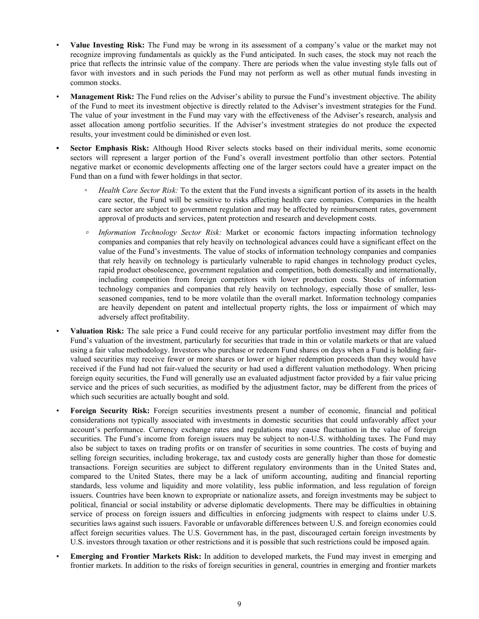- **Value Investing Risk:** The Fund may be wrong in its assessment of a company's value or the market may not recognize improving fundamentals as quickly as the Fund anticipated. In such cases, the stock may not reach the price that reflects the intrinsic value of the company. There are periods when the value investing style falls out of favor with investors and in such periods the Fund may not perform as well as other mutual funds investing in common stocks.
- **Management Risk:** The Fund relies on the Adviser's ability to pursue the Fund's investment objective. The ability of the Fund to meet its investment objective is directly related to the Adviser's investment strategies for the Fund. The value of your investment in the Fund may vary with the effectiveness of the Adviser's research, analysis and asset allocation among portfolio securities. If the Adviser's investment strategies do not produce the expected results, your investment could be diminished or even lost.
- **• Sector Emphasis Risk:** Although Hood River selects stocks based on their individual merits, some economic sectors will represent a larger portion of the Fund's overall investment portfolio than other sectors. Potential negative market or economic developments affecting one of the larger sectors could have a greater impact on the Fund than on a fund with fewer holdings in that sector.
	- *Health Care Sector Risk:* To the extent that the Fund invests a significant portion of its assets in the health care sector, the Fund will be sensitive to risks affecting health care companies. Companies in the health care sector are subject to government regulation and may be affected by reimbursement rates, government approval of products and services, patent protection and research and development costs.
	- *◦ Information Technology Sector Risk:* Market or economic factors impacting information technology companies and companies that rely heavily on technological advances could have a significant effect on the value of the Fund's investments. The value of stocks of information technology companies and companies that rely heavily on technology is particularly vulnerable to rapid changes in technology product cycles, rapid product obsolescence, government regulation and competition, both domestically and internationally, including competition from foreign competitors with lower production costs. Stocks of information technology companies and companies that rely heavily on technology, especially those of smaller, lessseasoned companies, tend to be more volatile than the overall market. Information technology companies are heavily dependent on patent and intellectual property rights, the loss or impairment of which may adversely affect profitability.
- **Valuation Risk:** The sale price a Fund could receive for any particular portfolio investment may differ from the Fund's valuation of the investment, particularly for securities that trade in thin or volatile markets or that are valued using a fair value methodology. Investors who purchase or redeem Fund shares on days when a Fund is holding fairvalued securities may receive fewer or more shares or lower or higher redemption proceeds than they would have received if the Fund had not fair-valued the security or had used a different valuation methodology. When pricing foreign equity securities, the Fund will generally use an evaluated adjustment factor provided by a fair value pricing service and the prices of such securities, as modified by the adjustment factor, may be different from the prices of which such securities are actually bought and sold.
- **Foreign Security Risk:** Foreign securities investments present a number of economic, financial and political considerations not typically associated with investments in domestic securities that could unfavorably affect your account's performance. Currency exchange rates and regulations may cause fluctuation in the value of foreign securities. The Fund's income from foreign issuers may be subject to non-U.S. withholding taxes. The Fund may also be subject to taxes on trading profits or on transfer of securities in some countries. The costs of buying and selling foreign securities, including brokerage, tax and custody costs are generally higher than those for domestic transactions. Foreign securities are subject to different regulatory environments than in the United States and, compared to the United States, there may be a lack of uniform accounting, auditing and financial reporting standards, less volume and liquidity and more volatility, less public information, and less regulation of foreign issuers. Countries have been known to expropriate or nationalize assets, and foreign investments may be subject to political, financial or social instability or adverse diplomatic developments. There may be difficulties in obtaining service of process on foreign issuers and difficulties in enforcing judgments with respect to claims under U.S. securities laws against such issuers. Favorable or unfavorable differences between U.S. and foreign economies could affect foreign securities values. The U.S. Government has, in the past, discouraged certain foreign investments by U.S. investors through taxation or other restrictions and it is possible that such restrictions could be imposed again.
- **Emerging and Frontier Markets Risk:** In addition to developed markets, the Fund may invest in emerging and frontier markets. In addition to the risks of foreign securities in general, countries in emerging and frontier markets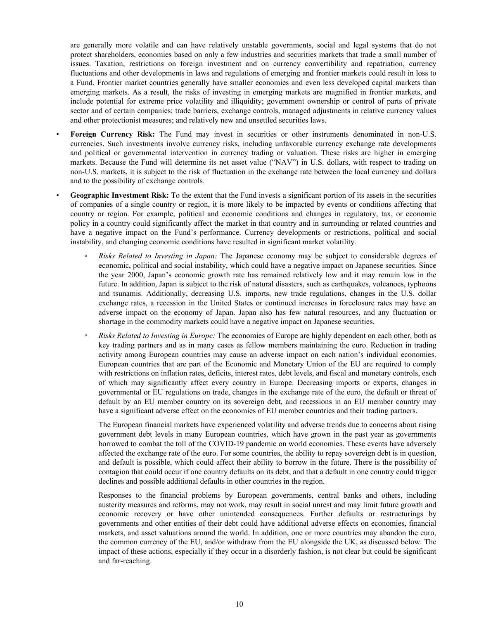are generally more volatile and can have relatively unstable governments, social and legal systems that do not protect shareholders, economies based on only a few industries and securities markets that trade a small number of issues. Taxation, restrictions on foreign investment and on currency convertibility and repatriation, currency fluctuations and other developments in laws and regulations of emerging and frontier markets could result in loss to a Fund. Frontier market countries generally have smaller economies and even less developed capital markets than emerging markets. As a result, the risks of investing in emerging markets are magnified in frontier markets, and include potential for extreme price volatility and illiquidity; government ownership or control of parts of private sector and of certain companies; trade barriers, exchange controls, managed adjustments in relative currency values and other protectionist measures; and relatively new and unsettled securities laws.

- **Foreign Currency Risk:** The Fund may invest in securities or other instruments denominated in non-U.S. currencies. Such investments involve currency risks, including unfavorable currency exchange rate developments and political or governmental intervention in currency trading or valuation. These risks are higher in emerging markets. Because the Fund will determine its net asset value ("NAV") in U.S. dollars, with respect to trading on non-U.S. markets, it is subject to the risk of fluctuation in the exchange rate between the local currency and dollars and to the possibility of exchange controls.
- **Geographic Investment Risk:** To the extent that the Fund invests a significant portion of its assets in the securities of companies of a single country or region, it is more likely to be impacted by events or conditions affecting that country or region. For example, political and economic conditions and changes in regulatory, tax, or economic policy in a country could significantly affect the market in that country and in surrounding or related countries and have a negative impact on the Fund's performance. Currency developments or restrictions, political and social instability, and changing economic conditions have resulted in significant market volatility.
	- *Risks Related to Investing in Japan:* The Japanese economy may be subject to considerable degrees of economic, political and social instability, which could have a negative impact on Japanese securities. Since the year 2000, Japan's economic growth rate has remained relatively low and it may remain low in the future. In addition, Japan is subject to the risk of natural disasters, such as earthquakes, volcanoes, typhoons and tsunamis. Additionally, decreasing U.S. imports, new trade regulations, changes in the U.S. dollar exchange rates, a recession in the United States or continued increases in foreclosure rates may have an adverse impact on the economy of Japan. Japan also has few natural resources, and any fluctuation or shortage in the commodity markets could have a negative impact on Japanese securities.
	- *◦ Risks Related to Investing in Europe:* The economies of Europe are highly dependent on each other, both as key trading partners and as in many cases as fellow members maintaining the euro. Reduction in trading activity among European countries may cause an adverse impact on each nation's individual economies. European countries that are part of the Economic and Monetary Union of the EU are required to comply with restrictions on inflation rates, deficits, interest rates, debt levels, and fiscal and monetary controls, each of which may significantly affect every country in Europe. Decreasing imports or exports, changes in governmental or EU regulations on trade, changes in the exchange rate of the euro, the default or threat of default by an EU member country on its sovereign debt, and recessions in an EU member country may have a significant adverse effect on the economies of EU member countries and their trading partners.

The European financial markets have experienced volatility and adverse trends due to concerns about rising government debt levels in many European countries, which have grown in the past year as governments borrowed to combat the toll of the COVID-19 pandemic on world economies. These events have adversely affected the exchange rate of the euro. For some countries, the ability to repay sovereign debt is in question, and default is possible, which could affect their ability to borrow in the future. There is the possibility of contagion that could occur if one country defaults on its debt, and that a default in one country could trigger declines and possible additional defaults in other countries in the region.

Responses to the financial problems by European governments, central banks and others, including austerity measures and reforms, may not work, may result in social unrest and may limit future growth and economic recovery or have other unintended consequences. Further defaults or restructurings by governments and other entities of their debt could have additional adverse effects on economies, financial markets, and asset valuations around the world. In addition, one or more countries may abandon the euro, the common currency of the EU, and/or withdraw from the EU alongside the UK, as discussed below. The impact of these actions, especially if they occur in a disorderly fashion, is not clear but could be significant and far-reaching.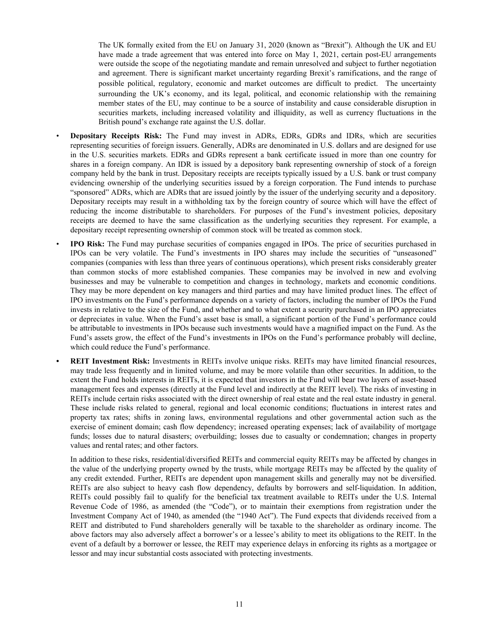The UK formally exited from the EU on January 31, 2020 (known as "Brexit"). Although the UK and EU have made a trade agreement that was entered into force on May 1, 2021, certain post-EU arrangements were outside the scope of the negotiating mandate and remain unresolved and subject to further negotiation and agreement. There is significant market uncertainty regarding Brexit's ramifications, and the range of possible political, regulatory, economic and market outcomes are difficult to predict. The uncertainty surrounding the UK's economy, and its legal, political, and economic relationship with the remaining member states of the EU, may continue to be a source of instability and cause considerable disruption in securities markets, including increased volatility and illiquidity, as well as currency fluctuations in the British pound's exchange rate against the U.S. dollar.

- **Depositary Receipts Risk:** The Fund may invest in ADRs, EDRs, GDRs and IDRs, which are securities representing securities of foreign issuers. Generally, ADRs are denominated in U.S. dollars and are designed for use in the U.S. securities markets. EDRs and GDRs represent a bank certificate issued in more than one country for shares in a foreign company. An IDR is issued by a depository bank representing ownership of stock of a foreign company held by the bank in trust. Depositary receipts are receipts typically issued by a U.S. bank or trust company evidencing ownership of the underlying securities issued by a foreign corporation. The Fund intends to purchase "sponsored" ADRs, which are ADRs that are issued jointly by the issuer of the underlying security and a depository. Depositary receipts may result in a withholding tax by the foreign country of source which will have the effect of reducing the income distributable to shareholders. For purposes of the Fund's investment policies, depositary receipts are deemed to have the same classification as the underlying securities they represent. For example, a depositary receipt representing ownership of common stock will be treated as common stock.
- **IPO Risk:** The Fund may purchase securities of companies engaged in IPOs. The price of securities purchased in IPOs can be very volatile. The Fund's investments in IPO shares may include the securities of "unseasoned" companies (companies with less than three years of continuous operations), which present risks considerably greater than common stocks of more established companies. These companies may be involved in new and evolving businesses and may be vulnerable to competition and changes in technology, markets and economic conditions. They may be more dependent on key managers and third parties and may have limited product lines. The effect of IPO investments on the Fund's performance depends on a variety of factors, including the number of IPOs the Fund invests in relative to the size of the Fund, and whether and to what extent a security purchased in an IPO appreciates or depreciates in value. When the Fund's asset base is small, a significant portion of the Fund's performance could be attributable to investments in IPOs because such investments would have a magnified impact on the Fund. As the Fund's assets grow, the effect of the Fund's investments in IPOs on the Fund's performance probably will decline, which could reduce the Fund's performance.
- **• REIT Investment Risk:** Investments in REITs involve unique risks. REITs may have limited financial resources, may trade less frequently and in limited volume, and may be more volatile than other securities. In addition, to the extent the Fund holds interests in REITs, it is expected that investors in the Fund will bear two layers of asset-based management fees and expenses (directly at the Fund level and indirectly at the REIT level). The risks of investing in REITs include certain risks associated with the direct ownership of real estate and the real estate industry in general. These include risks related to general, regional and local economic conditions; fluctuations in interest rates and property tax rates; shifts in zoning laws, environmental regulations and other governmental action such as the exercise of eminent domain; cash flow dependency; increased operating expenses; lack of availability of mortgage funds; losses due to natural disasters; overbuilding; losses due to casualty or condemnation; changes in property values and rental rates; and other factors.

In addition to these risks, residential/diversified REITs and commercial equity REITs may be affected by changes in the value of the underlying property owned by the trusts, while mortgage REITs may be affected by the quality of any credit extended. Further, REITs are dependent upon management skills and generally may not be diversified. REITs are also subject to heavy cash flow dependency, defaults by borrowers and self-liquidation. In addition, REITs could possibly fail to qualify for the beneficial tax treatment available to REITs under the U.S. Internal Revenue Code of 1986, as amended (the "Code"), or to maintain their exemptions from registration under the Investment Company Act of 1940, as amended (the "1940 Act"). The Fund expects that dividends received from a REIT and distributed to Fund shareholders generally will be taxable to the shareholder as ordinary income. The above factors may also adversely affect a borrower's or a lessee's ability to meet its obligations to the REIT. In the event of a default by a borrower or lessee, the REIT may experience delays in enforcing its rights as a mortgagee or lessor and may incur substantial costs associated with protecting investments.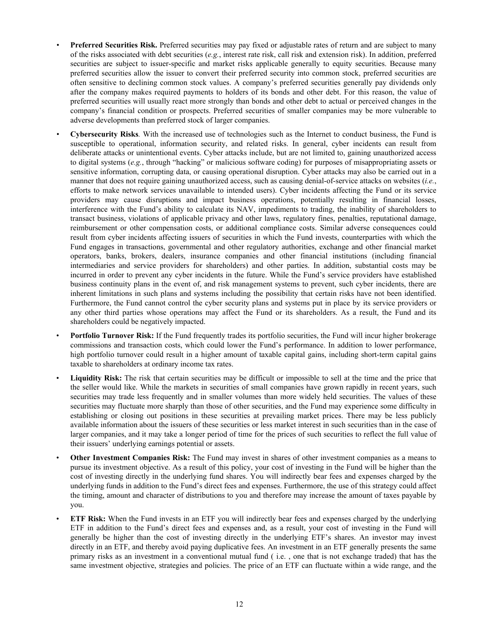- *•* **Preferred Securities Risk.** Preferred securities may pay fixed or adjustable rates of return and are subject to many of the risks associated with debt securities (*e.g.*, interest rate risk, call risk and extension risk). In addition, preferred securities are subject to issuer-specific and market risks applicable generally to equity securities. Because many preferred securities allow the issuer to convert their preferred security into common stock, preferred securities are often sensitive to declining common stock values. A company's preferred securities generally pay dividends only after the company makes required payments to holders of its bonds and other debt. For this reason, the value of preferred securities will usually react more strongly than bonds and other debt to actual or perceived changes in the company's financial condition or prospects. Preferred securities of smaller companies may be more vulnerable to adverse developments than preferred stock of larger companies.
- *•* **Cybersecurity Risks***.* With the increased use of technologies such as the Internet to conduct business, the Fund is susceptible to operational, information security, and related risks. In general, cyber incidents can result from deliberate attacks or unintentional events. Cyber attacks include, but are not limited to, gaining unauthorized access to digital systems (*e.g.*, through "hacking" or malicious software coding) for purposes of misappropriating assets or sensitive information, corrupting data, or causing operational disruption. Cyber attacks may also be carried out in a manner that does not require gaining unauthorized access, such as causing denial-of-service attacks on websites (*i.e.*, efforts to make network services unavailable to intended users). Cyber incidents affecting the Fund or its service providers may cause disruptions and impact business operations, potentially resulting in financial losses, interference with the Fund's ability to calculate its NAV, impediments to trading, the inability of shareholders to transact business, violations of applicable privacy and other laws, regulatory fines, penalties, reputational damage, reimbursement or other compensation costs, or additional compliance costs. Similar adverse consequences could result from cyber incidents affecting issuers of securities in which the Fund invests, counterparties with which the Fund engages in transactions, governmental and other regulatory authorities, exchange and other financial market operators, banks, brokers, dealers, insurance companies and other financial institutions (including financial intermediaries and service providers for shareholders) and other parties. In addition, substantial costs may be incurred in order to prevent any cyber incidents in the future. While the Fund's service providers have established business continuity plans in the event of, and risk management systems to prevent, such cyber incidents, there are inherent limitations in such plans and systems including the possibility that certain risks have not been identified. Furthermore, the Fund cannot control the cyber security plans and systems put in place by its service providers or any other third parties whose operations may affect the Fund or its shareholders. As a result, the Fund and its shareholders could be negatively impacted.
- **Portfolio Turnover Risk:** If the Fund frequently trades its portfolio securities, the Fund will incur higher brokerage commissions and transaction costs, which could lower the Fund's performance. In addition to lower performance, high portfolio turnover could result in a higher amount of taxable capital gains, including short-term capital gains taxable to shareholders at ordinary income tax rates.
- **Liquidity Risk:** The risk that certain securities may be difficult or impossible to sell at the time and the price that the seller would like. While the markets in securities of small companies have grown rapidly in recent years, such securities may trade less frequently and in smaller volumes than more widely held securities. The values of these securities may fluctuate more sharply than those of other securities, and the Fund may experience some difficulty in establishing or closing out positions in these securities at prevailing market prices. There may be less publicly available information about the issuers of these securities or less market interest in such securities than in the case of larger companies, and it may take a longer period of time for the prices of such securities to reflect the full value of their issuers' underlying earnings potential or assets.
- **Other Investment Companies Risk:** The Fund may invest in shares of other investment companies as a means to pursue its investment objective. As a result of this policy, your cost of investing in the Fund will be higher than the cost of investing directly in the underlying fund shares. You will indirectly bear fees and expenses charged by the underlying funds in addition to the Fund's direct fees and expenses. Furthermore, the use of this strategy could affect the timing, amount and character of distributions to you and therefore may increase the amount of taxes payable by you.
- **ETF Risk:** When the Fund invests in an ETF you will indirectly bear fees and expenses charged by the underlying ETF in addition to the Fund's direct fees and expenses and, as a result, your cost of investing in the Fund will generally be higher than the cost of investing directly in the underlying ETF's shares. An investor may invest directly in an ETF, and thereby avoid paying duplicative fees. An investment in an ETF generally presents the same primary risks as an investment in a conventional mutual fund ( i.e. , one that is not exchange traded) that has the same investment objective, strategies and policies. The price of an ETF can fluctuate within a wide range, and the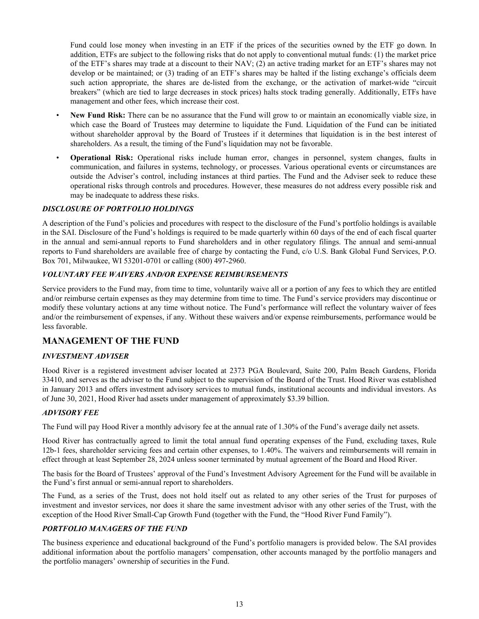<span id="page-15-0"></span>Fund could lose money when investing in an ETF if the prices of the securities owned by the ETF go down. In addition, ETFs are subject to the following risks that do not apply to conventional mutual funds: (1) the market price of the ETF's shares may trade at a discount to their NAV; (2) an active trading market for an ETF's shares may not develop or be maintained; or (3) trading of an ETF's shares may be halted if the listing exchange's officials deem such action appropriate, the shares are de-listed from the exchange, or the activation of market-wide "circuit breakers" (which are tied to large decreases in stock prices) halts stock trading generally. Additionally, ETFs have management and other fees, which increase their cost.

- **New Fund Risk:** There can be no assurance that the Fund will grow to or maintain an economically viable size, in which case the Board of Trustees may determine to liquidate the Fund. Liquidation of the Fund can be initiated without shareholder approval by the Board of Trustees if it determines that liquidation is in the best interest of shareholders. As a result, the timing of the Fund's liquidation may not be favorable.
- **Operational Risk:** Operational risks include human error, changes in personnel, system changes, faults in communication, and failures in systems, technology, or processes. Various operational events or circumstances are outside the Adviser's control, including instances at third parties. The Fund and the Adviser seek to reduce these operational risks through controls and procedures. However, these measures do not address every possible risk and may be inadequate to address these risks.

#### *DISCLOSURE OF PORTFOLIO HOLDINGS*

A description of the Fund's policies and procedures with respect to the disclosure of the Fund's portfolio holdings is available in the SAI. Disclosure of the Fund's holdings is required to be made quarterly within 60 days of the end of each fiscal quarter in the annual and semi-annual reports to Fund shareholders and in other regulatory filings. The annual and semi-annual reports to Fund shareholders are available free of charge by contacting the Fund, c/o U.S. Bank Global Fund Services, P.O. Box 701, Milwaukee, WI 53201-0701 or calling (800) 497-2960.

#### *VOLUNTARY FEE WAIVERS AND/OR EXPENSE REIMBURSEMENTS*

Service providers to the Fund may, from time to time, voluntarily waive all or a portion of any fees to which they are entitled and/or reimburse certain expenses as they may determine from time to time. The Fund's service providers may discontinue or modify these voluntary actions at any time without notice. The Fund's performance will reflect the voluntary waiver of fees and/or the reimbursement of expenses, if any. Without these waivers and/or expense reimbursements, performance would be less favorable.

# **MANAGEMENT OF THE FUND**

#### *INVESTMENT ADVISER*

Hood River is a registered investment adviser located at 2373 PGA Boulevard, Suite 200, Palm Beach Gardens, Florida 33410, and serves as the adviser to the Fund subject to the supervision of the Board of the Trust. Hood River was established in January 2013 and offers investment advisory services to mutual funds, institutional accounts and individual investors. As of June 30, 2021, Hood River had assets under management of approximately \$3.39 billion.

#### *ADVISORY FEE*

The Fund will pay Hood River a monthly advisory fee at the annual rate of 1.30% of the Fund's average daily net assets.

Hood River has contractually agreed to limit the total annual fund operating expenses of the Fund, excluding taxes, Rule 12b-1 fees, shareholder servicing fees and certain other expenses, to 1.40%. The waivers and reimbursements will remain in effect through at least September 28, 2024 unless sooner terminated by mutual agreement of the Board and Hood River.

The basis for the Board of Trustees' approval of the Fund's Investment Advisory Agreement for the Fund will be available in the Fund's first annual or semi-annual report to shareholders.

The Fund, as a series of the Trust, does not hold itself out as related to any other series of the Trust for purposes of investment and investor services, nor does it share the same investment advisor with any other series of the Trust, with the exception of the Hood River Small-Cap Growth Fund (together with the Fund, the "Hood River Fund Family").

#### *PORTFOLIO MANAGERS OF THE FUND*

The business experience and educational background of the Fund's portfolio managers is provided below. The SAI provides additional information about the portfolio managers' compensation, other accounts managed by the portfolio managers and the portfolio managers' ownership of securities in the Fund.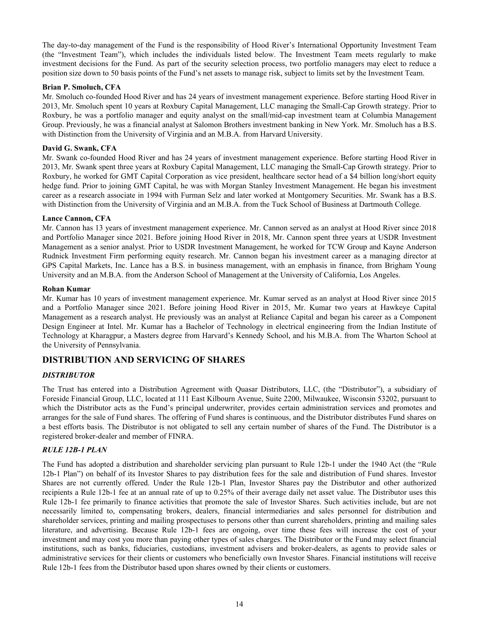<span id="page-16-0"></span>The day-to-day management of the Fund is the responsibility of Hood River's International Opportunity Investment Team (the "Investment Team"), which includes the individuals listed below. The Investment Team meets regularly to make investment decisions for the Fund. As part of the security selection process, two portfolio managers may elect to reduce a position size down to 50 basis points of the Fund's net assets to manage risk, subject to limits set by the Investment Team.

#### **Brian P. Smoluch, CFA**

Mr. Smoluch co-founded Hood River and has 24 years of investment management experience. Before starting Hood River in 2013, Mr. Smoluch spent 10 years at Roxbury Capital Management, LLC managing the Small-Cap Growth strategy. Prior to Roxbury, he was a portfolio manager and equity analyst on the small/mid-cap investment team at Columbia Management Group. Previously, he was a financial analyst at Salomon Brothers investment banking in New York. Mr. Smoluch has a B.S. with Distinction from the University of Virginia and an M.B.A. from Harvard University.

#### **David G. Swank, CFA**

Mr. Swank co-founded Hood River and has 24 years of investment management experience. Before starting Hood River in 2013, Mr. Swank spent three years at Roxbury Capital Management, LLC managing the Small-Cap Growth strategy. Prior to Roxbury, he worked for GMT Capital Corporation as vice president, healthcare sector head of a \$4 billion long/short equity hedge fund. Prior to joining GMT Capital, he was with Morgan Stanley Investment Management. He began his investment career as a research associate in 1994 with Furman Selz and later worked at Montgomery Securities. Mr. Swank has a B.S. with Distinction from the University of Virginia and an M.B.A. from the Tuck School of Business at Dartmouth College.

#### **Lance Cannon, CFA**

Mr. Cannon has 13 years of investment management experience. Mr. Cannon served as an analyst at Hood River since 2018 and Portfolio Manager since 2021. Before joining Hood River in 2018, Mr. Cannon spent three years at USDR Investment Management as a senior analyst. Prior to USDR Investment Management, he worked for TCW Group and Kayne Anderson Rudnick Investment Firm performing equity research. Mr. Cannon began his investment career as a managing director at GPS Capital Markets, Inc. Lance has a B.S. in business management, with an emphasis in finance, from Brigham Young University and an M.B.A. from the Anderson School of Management at the University of California, Los Angeles.

#### **Rohan Kumar**

Mr. Kumar has 10 years of investment management experience. Mr. Kumar served as an analyst at Hood River since 2015 and a Portfolio Manager since 2021. Before joining Hood River in 2015, Mr. Kumar two years at Hawkeye Capital Management as a research analyst. He previously was an analyst at Reliance Capital and began his career as a Component Design Engineer at Intel. Mr. Kumar has a Bachelor of Technology in electrical engineering from the Indian Institute of Technology at Kharagpur, a Masters degree from Harvard's Kennedy School, and his M.B.A. from The Wharton School at the University of Pennsylvania.

# **DISTRIBUTION AND SERVICING OF SHARES**

#### *DISTRIBUTOR*

The Trust has entered into a Distribution Agreement with Quasar Distributors, LLC, (the "Distributor"), a subsidiary of Foreside Financial Group, LLC, located at 111 East Kilbourn Avenue, Suite 2200, Milwaukee, Wisconsin 53202, pursuant to which the Distributor acts as the Fund's principal underwriter, provides certain administration services and promotes and arranges for the sale of Fund shares. The offering of Fund shares is continuous, and the Distributor distributes Fund shares on a best efforts basis. The Distributor is not obligated to sell any certain number of shares of the Fund. The Distributor is a registered broker-dealer and member of FINRA.

#### *RULE 12B-1 PLAN*

The Fund has adopted a distribution and shareholder servicing plan pursuant to Rule 12b-1 under the 1940 Act (the "Rule 12b-1 Plan") on behalf of its Investor Shares to pay distribution fees for the sale and distribution of Fund shares. Investor Shares are not currently offered. Under the Rule 12b-1 Plan, Investor Shares pay the Distributor and other authorized recipients a Rule 12b-1 fee at an annual rate of up to 0.25% of their average daily net asset value. The Distributor uses this Rule 12b-1 fee primarily to finance activities that promote the sale of Investor Shares. Such activities include, but are not necessarily limited to, compensating brokers, dealers, financial intermediaries and sales personnel for distribution and shareholder services, printing and mailing prospectuses to persons other than current shareholders, printing and mailing sales literature, and advertising. Because Rule 12b-1 fees are ongoing, over time these fees will increase the cost of your investment and may cost you more than paying other types of sales charges. The Distributor or the Fund may select financial institutions, such as banks, fiduciaries, custodians, investment advisers and broker-dealers, as agents to provide sales or administrative services for their clients or customers who beneficially own Investor Shares. Financial institutions will receive Rule 12b-1 fees from the Distributor based upon shares owned by their clients or customers.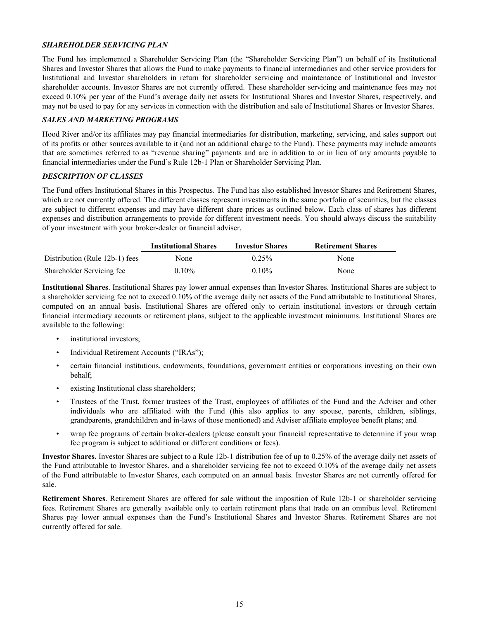#### <span id="page-17-0"></span>*SHAREHOLDER SERVICING PLAN*

The Fund has implemented a Shareholder Servicing Plan (the "Shareholder Servicing Plan") on behalf of its Institutional Shares and Investor Shares that allows the Fund to make payments to financial intermediaries and other service providers for Institutional and Investor shareholders in return for shareholder servicing and maintenance of Institutional and Investor shareholder accounts. Investor Shares are not currently offered. These shareholder servicing and maintenance fees may not exceed 0.10% per year of the Fund's average daily net assets for Institutional Shares and Investor Shares, respectively, and may not be used to pay for any services in connection with the distribution and sale of Institutional Shares or Investor Shares.

#### *SALES AND MARKETING PROGRAMS*

Hood River and/or its affiliates may pay financial intermediaries for distribution, marketing, servicing, and sales support out of its profits or other sources available to it (and not an additional charge to the Fund). These payments may include amounts that are sometimes referred to as "revenue sharing" payments and are in addition to or in lieu of any amounts payable to financial intermediaries under the Fund's Rule 12b-1 Plan or Shareholder Servicing Plan.

#### *DESCRIPTION OF CLASSES*

The Fund offers Institutional Shares in this Prospectus. The Fund has also established Investor Shares and Retirement Shares, which are not currently offered. The different classes represent investments in the same portfolio of securities, but the classes are subject to different expenses and may have different share prices as outlined below. Each class of shares has different expenses and distribution arrangements to provide for different investment needs. You should always discuss the suitability of your investment with your broker-dealer or financial adviser.

|                                | <b>Institutional Shares</b> | <b>Investor Shares</b> | <b>Retirement Shares</b> |
|--------------------------------|-----------------------------|------------------------|--------------------------|
| Distribution (Rule 12b-1) fees | None                        | 0.25%                  | None                     |
| Shareholder Servicing fee      | $0.10\%$                    | $0.10\%$               | None                     |

**Institutional Shares**. Institutional Shares pay lower annual expenses than Investor Shares. Institutional Shares are subject to a shareholder servicing fee not to exceed 0.10% of the average daily net assets of the Fund attributable to Institutional Shares, computed on an annual basis. Institutional Shares are offered only to certain institutional investors or through certain financial intermediary accounts or retirement plans, subject to the applicable investment minimums. Institutional Shares are available to the following:

- institutional investors;
- Individual Retirement Accounts ("IRAs");
- certain financial institutions, endowments, foundations, government entities or corporations investing on their own behalf;
- existing Institutional class shareholders;
- Trustees of the Trust, former trustees of the Trust, employees of affiliates of the Fund and the Adviser and other individuals who are affiliated with the Fund (this also applies to any spouse, parents, children, siblings, grandparents, grandchildren and in-laws of those mentioned) and Adviser affiliate employee benefit plans; and
- wrap fee programs of certain broker-dealers (please consult your financial representative to determine if your wrap fee program is subject to additional or different conditions or fees).

**Investor Shares.** Investor Shares are subject to a Rule 12b-1 distribution fee of up to 0.25% of the average daily net assets of the Fund attributable to Investor Shares, and a shareholder servicing fee not to exceed 0.10% of the average daily net assets of the Fund attributable to Investor Shares, each computed on an annual basis. Investor Shares are not currently offered for sale.

**Retirement Shares**. Retirement Shares are offered for sale without the imposition of Rule 12b-1 or shareholder servicing fees. Retirement Shares are generally available only to certain retirement plans that trade on an omnibus level. Retirement Shares pay lower annual expenses than the Fund's Institutional Shares and Investor Shares. Retirement Shares are not currently offered for sale.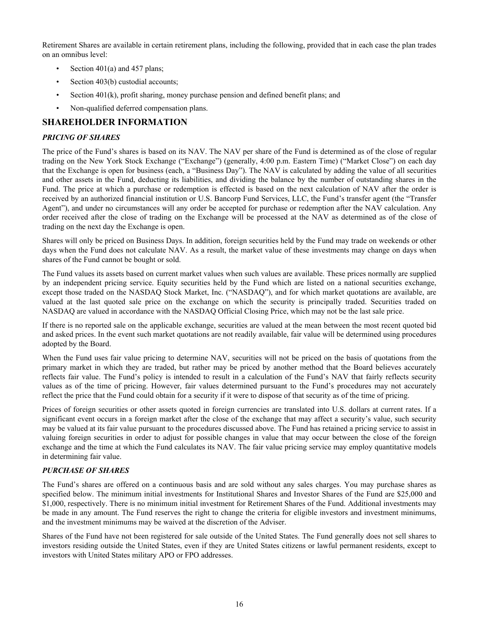<span id="page-18-0"></span>Retirement Shares are available in certain retirement plans, including the following, provided that in each case the plan trades on an omnibus level:

- Section  $401(a)$  and  $457$  plans;
- Section 403(b) custodial accounts;
- Section  $401(k)$ , profit sharing, money purchase pension and defined benefit plans; and
- Non-qualified deferred compensation plans.

# **SHAREHOLDER INFORMATION**

#### *PRICING OF SHARES*

The price of the Fund's shares is based on its NAV. The NAV per share of the Fund is determined as of the close of regular trading on the New York Stock Exchange ("Exchange") (generally, 4:00 p.m. Eastern Time) ("Market Close") on each day that the Exchange is open for business (each, a "Business Day"). The NAV is calculated by adding the value of all securities and other assets in the Fund, deducting its liabilities, and dividing the balance by the number of outstanding shares in the Fund. The price at which a purchase or redemption is effected is based on the next calculation of NAV after the order is received by an authorized financial institution or U.S. Bancorp Fund Services, LLC, the Fund's transfer agent (the "Transfer Agent"), and under no circumstances will any order be accepted for purchase or redemption after the NAV calculation. Any order received after the close of trading on the Exchange will be processed at the NAV as determined as of the close of trading on the next day the Exchange is open.

Shares will only be priced on Business Days. In addition, foreign securities held by the Fund may trade on weekends or other days when the Fund does not calculate NAV. As a result, the market value of these investments may change on days when shares of the Fund cannot be bought or sold.

The Fund values its assets based on current market values when such values are available. These prices normally are supplied by an independent pricing service. Equity securities held by the Fund which are listed on a national securities exchange, except those traded on the NASDAQ Stock Market, Inc. ("NASDAQ"), and for which market quotations are available, are valued at the last quoted sale price on the exchange on which the security is principally traded. Securities traded on NASDAQ are valued in accordance with the NASDAQ Official Closing Price, which may not be the last sale price.

If there is no reported sale on the applicable exchange, securities are valued at the mean between the most recent quoted bid and asked prices. In the event such market quotations are not readily available, fair value will be determined using procedures adopted by the Board.

When the Fund uses fair value pricing to determine NAV, securities will not be priced on the basis of quotations from the primary market in which they are traded, but rather may be priced by another method that the Board believes accurately reflects fair value. The Fund's policy is intended to result in a calculation of the Fund's NAV that fairly reflects security values as of the time of pricing. However, fair values determined pursuant to the Fund's procedures may not accurately reflect the price that the Fund could obtain for a security if it were to dispose of that security as of the time of pricing.

Prices of foreign securities or other assets quoted in foreign currencies are translated into U.S. dollars at current rates. If a significant event occurs in a foreign market after the close of the exchange that may affect a security's value, such security may be valued at its fair value pursuant to the procedures discussed above. The Fund has retained a pricing service to assist in valuing foreign securities in order to adjust for possible changes in value that may occur between the close of the foreign exchange and the time at which the Fund calculates its NAV. The fair value pricing service may employ quantitative models in determining fair value.

### *PURCHASE OF SHARES*

The Fund's shares are offered on a continuous basis and are sold without any sales charges. You may purchase shares as specified below. The minimum initial investments for Institutional Shares and Investor Shares of the Fund are \$25,000 and \$1,000, respectively. There is no minimum initial investment for Retirement Shares of the Fund. Additional investments may be made in any amount. The Fund reserves the right to change the criteria for eligible investors and investment minimums, and the investment minimums may be waived at the discretion of the Adviser.

Shares of the Fund have not been registered for sale outside of the United States. The Fund generally does not sell shares to investors residing outside the United States, even if they are United States citizens or lawful permanent residents, except to investors with United States military APO or FPO addresses.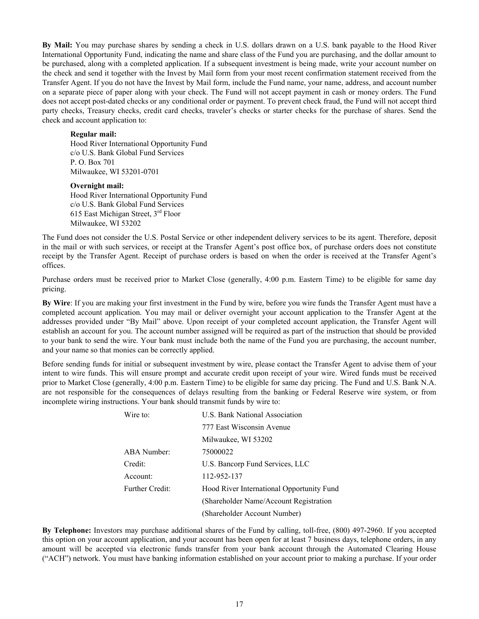**By Mail:** You may purchase shares by sending a check in U.S. dollars drawn on a U.S. bank payable to the Hood River International Opportunity Fund, indicating the name and share class of the Fund you are purchasing, and the dollar amount to be purchased, along with a completed application. If a subsequent investment is being made, write your account number on the check and send it together with the Invest by Mail form from your most recent confirmation statement received from the Transfer Agent. If you do not have the Invest by Mail form, include the Fund name, your name, address, and account number on a separate piece of paper along with your check. The Fund will not accept payment in cash or money orders. The Fund does not accept post-dated checks or any conditional order or payment. To prevent check fraud, the Fund will not accept third party checks, Treasury checks, credit card checks, traveler's checks or starter checks for the purchase of shares. Send the check and account application to:

#### **Regular mail:**

Hood River International Opportunity Fund c/o U.S. Bank Global Fund Services P. O. Box 701 Milwaukee, WI 53201-0701

#### **Overnight mail:**

Hood River International Opportunity Fund c/o U.S. Bank Global Fund Services 615 East Michigan Street, 3rd Floor Milwaukee, WI 53202

The Fund does not consider the U.S. Postal Service or other independent delivery services to be its agent. Therefore, deposit in the mail or with such services, or receipt at the Transfer Agent's post office box, of purchase orders does not constitute receipt by the Transfer Agent. Receipt of purchase orders is based on when the order is received at the Transfer Agent's offices.

Purchase orders must be received prior to Market Close (generally, 4:00 p.m. Eastern Time) to be eligible for same day pricing.

**By Wire**: If you are making your first investment in the Fund by wire, before you wire funds the Transfer Agent must have a completed account application. You may mail or deliver overnight your account application to the Transfer Agent at the addresses provided under "By Mail" above. Upon receipt of your completed account application, the Transfer Agent will establish an account for you. The account number assigned will be required as part of the instruction that should be provided to your bank to send the wire. Your bank must include both the name of the Fund you are purchasing, the account number, and your name so that monies can be correctly applied.

Before sending funds for initial or subsequent investment by wire, please contact the Transfer Agent to advise them of your intent to wire funds. This will ensure prompt and accurate credit upon receipt of your wire. Wired funds must be received prior to Market Close (generally, 4:00 p.m. Eastern Time) to be eligible for same day pricing. The Fund and U.S. Bank N.A. are not responsible for the consequences of delays resulting from the banking or Federal Reserve wire system, or from incomplete wiring instructions. Your bank should transmit funds by wire to:

| Wire to:        | <b>U.S. Bank National Association</b>     |
|-----------------|-------------------------------------------|
|                 | 777 East Wisconsin Avenue                 |
|                 | Milwaukee, WI 53202                       |
| ABA Number:     | 75000022                                  |
| Credit:         | U.S. Bancorp Fund Services, LLC           |
| Account:        | 112-952-137                               |
| Further Credit: | Hood River International Opportunity Fund |
|                 | (Shareholder Name/Account Registration)   |
|                 | (Shareholder Account Number)              |

**By Telephone:** Investors may purchase additional shares of the Fund by calling, toll-free, (800) 497-2960. If you accepted this option on your account application, and your account has been open for at least 7 business days, telephone orders, in any amount will be accepted via electronic funds transfer from your bank account through the Automated Clearing House ("ACH") network. You must have banking information established on your account prior to making a purchase. If your order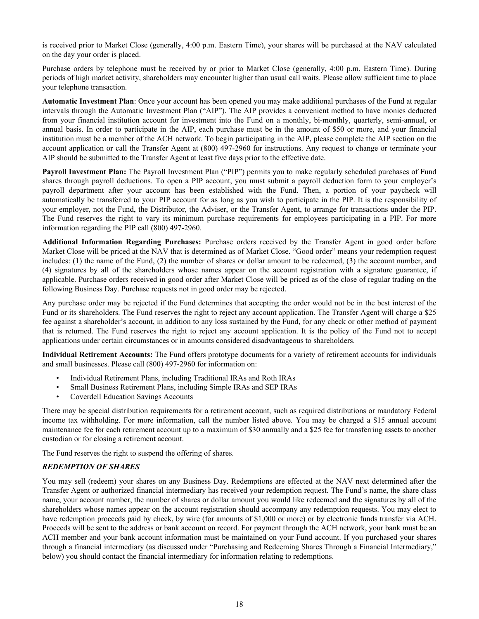<span id="page-20-0"></span>is received prior to Market Close (generally, 4:00 p.m. Eastern Time), your shares will be purchased at the NAV calculated on the day your order is placed.

Purchase orders by telephone must be received by or prior to Market Close (generally, 4:00 p.m. Eastern Time). During periods of high market activity, shareholders may encounter higher than usual call waits. Please allow sufficient time to place your telephone transaction.

**Automatic Investment Plan**: Once your account has been opened you may make additional purchases of the Fund at regular intervals through the Automatic Investment Plan ("AIP"). The AIP provides a convenient method to have monies deducted from your financial institution account for investment into the Fund on a monthly, bi-monthly, quarterly, semi-annual, or annual basis. In order to participate in the AIP, each purchase must be in the amount of \$50 or more, and your financial institution must be a member of the ACH network. To begin participating in the AIP, please complete the AIP section on the account application or call the Transfer Agent at (800) 497-2960 for instructions. Any request to change or terminate your AIP should be submitted to the Transfer Agent at least five days prior to the effective date.

**Payroll Investment Plan:** The Payroll Investment Plan ("PIP") permits you to make regularly scheduled purchases of Fund shares through payroll deductions. To open a PIP account, you must submit a payroll deduction form to your employer's payroll department after your account has been established with the Fund. Then, a portion of your paycheck will automatically be transferred to your PIP account for as long as you wish to participate in the PIP. It is the responsibility of your employer, not the Fund, the Distributor, the Adviser, or the Transfer Agent, to arrange for transactions under the PIP. The Fund reserves the right to vary its minimum purchase requirements for employees participating in a PIP. For more information regarding the PIP call (800) 497-2960.

**Additional Information Regarding Purchases:** Purchase orders received by the Transfer Agent in good order before Market Close will be priced at the NAV that is determined as of Market Close. "Good order" means your redemption request includes: (1) the name of the Fund, (2) the number of shares or dollar amount to be redeemed, (3) the account number, and (4) signatures by all of the shareholders whose names appear on the account registration with a signature guarantee, if applicable. Purchase orders received in good order after Market Close will be priced as of the close of regular trading on the following Business Day. Purchase requests not in good order may be rejected.

Any purchase order may be rejected if the Fund determines that accepting the order would not be in the best interest of the Fund or its shareholders. The Fund reserves the right to reject any account application. The Transfer Agent will charge a \$25 fee against a shareholder's account, in addition to any loss sustained by the Fund, for any check or other method of payment that is returned. The Fund reserves the right to reject any account application. It is the policy of the Fund not to accept applications under certain circumstances or in amounts considered disadvantageous to shareholders.

**Individual Retirement Accounts:** The Fund offers prototype documents for a variety of retirement accounts for individuals and small businesses. Please call (800) 497-2960 for information on:

- Individual Retirement Plans, including Traditional IRAs and Roth IRAs
- Small Business Retirement Plans, including Simple IRAs and SEP IRAs
- Coverdell Education Savings Accounts

There may be special distribution requirements for a retirement account, such as required distributions or mandatory Federal income tax withholding. For more information, call the number listed above. You may be charged a \$15 annual account maintenance fee for each retirement account up to a maximum of \$30 annually and a \$25 fee for transferring assets to another custodian or for closing a retirement account.

The Fund reserves the right to suspend the offering of shares.

### *REDEMPTION OF SHARES*

You may sell (redeem) your shares on any Business Day. Redemptions are effected at the NAV next determined after the Transfer Agent or authorized financial intermediary has received your redemption request. The Fund's name, the share class name, your account number, the number of shares or dollar amount you would like redeemed and the signatures by all of the shareholders whose names appear on the account registration should accompany any redemption requests. You may elect to have redemption proceeds paid by check, by wire (for amounts of \$1,000 or more) or by electronic funds transfer via ACH. Proceeds will be sent to the address or bank account on record. For payment through the ACH network, your bank must be an ACH member and your bank account information must be maintained on your Fund account. If you purchased your shares through a financial intermediary (as discussed under "Purchasing and Redeeming Shares Through a Financial Intermediary," below) you should contact the financial intermediary for information relating to redemptions.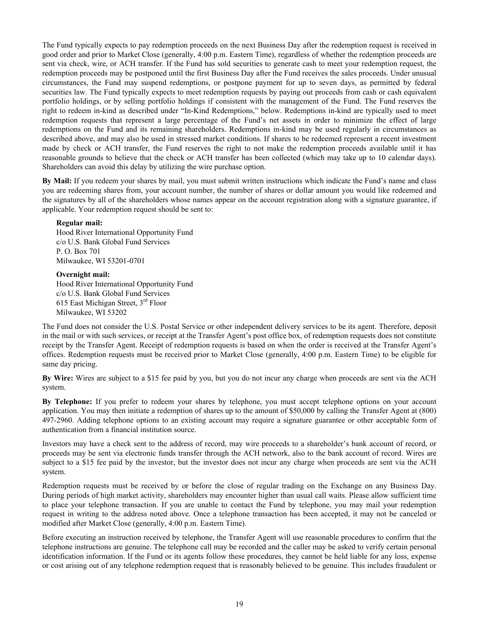The Fund typically expects to pay redemption proceeds on the next Business Day after the redemption request is received in good order and prior to Market Close (generally, 4:00 p.m. Eastern Time), regardless of whether the redemption proceeds are sent via check, wire, or ACH transfer. If the Fund has sold securities to generate cash to meet your redemption request, the redemption proceeds may be postponed until the first Business Day after the Fund receives the sales proceeds. Under unusual circumstances, the Fund may suspend redemptions, or postpone payment for up to seven days, as permitted by federal securities law. The Fund typically expects to meet redemption requests by paying out proceeds from cash or cash equivalent portfolio holdings, or by selling portfolio holdings if consistent with the management of the Fund. The Fund reserves the right to redeem in-kind as described under "In-Kind Redemptions," below. Redemptions in-kind are typically used to meet redemption requests that represent a large percentage of the Fund's net assets in order to minimize the effect of large redemptions on the Fund and its remaining shareholders. Redemptions in-kind may be used regularly in circumstances as described above, and may also be used in stressed market conditions. If shares to be redeemed represent a recent investment made by check or ACH transfer, the Fund reserves the right to not make the redemption proceeds available until it has reasonable grounds to believe that the check or ACH transfer has been collected (which may take up to 10 calendar days). Shareholders can avoid this delay by utilizing the wire purchase option.

**By Mail:** If you redeem your shares by mail, you must submit written instructions which indicate the Fund's name and class you are redeeming shares from, your account number, the number of shares or dollar amount you would like redeemed and the signatures by all of the shareholders whose names appear on the account registration along with a signature guarantee, if applicable. Your redemption request should be sent to:

#### **Regular mail:**

Hood River International Opportunity Fund c/o U.S. Bank Global Fund Services P. O. Box 701 Milwaukee, WI 53201-0701

#### **Overnight mail:**

Hood River International Opportunity Fund c/o U.S. Bank Global Fund Services 615 East Michigan Street, 3rd Floor Milwaukee, WI 53202

The Fund does not consider the U.S. Postal Service or other independent delivery services to be its agent. Therefore, deposit in the mail or with such services, or receipt at the Transfer Agent's post office box, of redemption requests does not constitute receipt by the Transfer Agent. Receipt of redemption requests is based on when the order is received at the Transfer Agent's offices. Redemption requests must be received prior to Market Close (generally, 4:00 p.m. Eastern Time) to be eligible for same day pricing.

**By Wire:** Wires are subject to a \$15 fee paid by you, but you do not incur any charge when proceeds are sent via the ACH system.

**By Telephone:** If you prefer to redeem your shares by telephone, you must accept telephone options on your account application. You may then initiate a redemption of shares up to the amount of \$50,000 by calling the Transfer Agent at (800) 497-2960. Adding telephone options to an existing account may require a signature guarantee or other acceptable form of authentication from a financial institution source.

Investors may have a check sent to the address of record, may wire proceeds to a shareholder's bank account of record, or proceeds may be sent via electronic funds transfer through the ACH network, also to the bank account of record. Wires are subject to a \$15 fee paid by the investor, but the investor does not incur any charge when proceeds are sent via the ACH system.

Redemption requests must be received by or before the close of regular trading on the Exchange on any Business Day. During periods of high market activity, shareholders may encounter higher than usual call waits. Please allow sufficient time to place your telephone transaction. If you are unable to contact the Fund by telephone, you may mail your redemption request in writing to the address noted above. Once a telephone transaction has been accepted, it may not be canceled or modified after Market Close (generally, 4:00 p.m. Eastern Time).

Before executing an instruction received by telephone, the Transfer Agent will use reasonable procedures to confirm that the telephone instructions are genuine. The telephone call may be recorded and the caller may be asked to verify certain personal identification information. If the Fund or its agents follow these procedures, they cannot be held liable for any loss, expense or cost arising out of any telephone redemption request that is reasonably believed to be genuine. This includes fraudulent or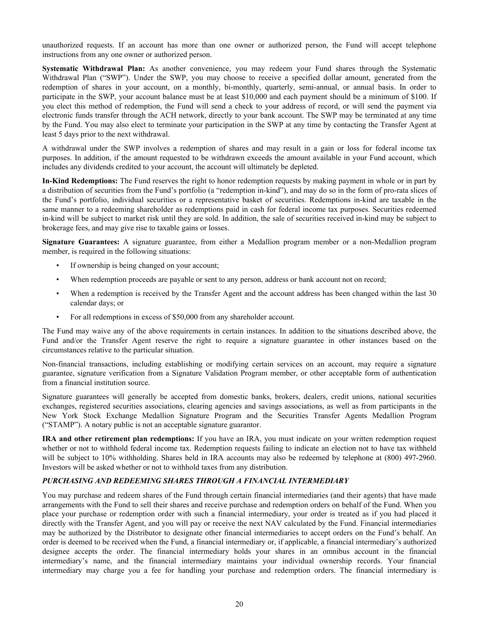<span id="page-22-0"></span>unauthorized requests. If an account has more than one owner or authorized person, the Fund will accept telephone instructions from any one owner or authorized person.

**Systematic Withdrawal Plan:** As another convenience, you may redeem your Fund shares through the Systematic Withdrawal Plan ("SWP"). Under the SWP, you may choose to receive a specified dollar amount, generated from the redemption of shares in your account, on a monthly, bi-monthly, quarterly, semi-annual, or annual basis. In order to participate in the SWP, your account balance must be at least \$10,000 and each payment should be a minimum of \$100. If you elect this method of redemption, the Fund will send a check to your address of record, or will send the payment via electronic funds transfer through the ACH network, directly to your bank account. The SWP may be terminated at any time by the Fund. You may also elect to terminate your participation in the SWP at any time by contacting the Transfer Agent at least 5 days prior to the next withdrawal.

A withdrawal under the SWP involves a redemption of shares and may result in a gain or loss for federal income tax purposes. In addition, if the amount requested to be withdrawn exceeds the amount available in your Fund account, which includes any dividends credited to your account, the account will ultimately be depleted.

**In-Kind Redemptions:** The Fund reserves the right to honor redemption requests by making payment in whole or in part by a distribution of securities from the Fund's portfolio (a "redemption in-kind"), and may do so in the form of pro-rata slices of the Fund's portfolio, individual securities or a representative basket of securities. Redemptions in-kind are taxable in the same manner to a redeeming shareholder as redemptions paid in cash for federal income tax purposes. Securities redeemed in-kind will be subject to market risk until they are sold. In addition, the sale of securities received in-kind may be subject to brokerage fees, and may give rise to taxable gains or losses.

**Signature Guarantees:** A signature guarantee, from either a Medallion program member or a non-Medallion program member, is required in the following situations:

- If ownership is being changed on your account;
- When redemption proceeds are payable or sent to any person, address or bank account not on record;
- When a redemption is received by the Transfer Agent and the account address has been changed within the last 30 calendar days; or
- For all redemptions in excess of \$50,000 from any shareholder account.

The Fund may waive any of the above requirements in certain instances. In addition to the situations described above, the Fund and/or the Transfer Agent reserve the right to require a signature guarantee in other instances based on the circumstances relative to the particular situation.

Non-financial transactions, including establishing or modifying certain services on an account, may require a signature guarantee, signature verification from a Signature Validation Program member, or other acceptable form of authentication from a financial institution source.

Signature guarantees will generally be accepted from domestic banks, brokers, dealers, credit unions, national securities exchanges, registered securities associations, clearing agencies and savings associations, as well as from participants in the New York Stock Exchange Medallion Signature Program and the Securities Transfer Agents Medallion Program ("STAMP"). A notary public is not an acceptable signature guarantor.

**IRA and other retirement plan redemptions:** If you have an IRA, you must indicate on your written redemption request whether or not to withhold federal income tax. Redemption requests failing to indicate an election not to have tax withheld will be subject to 10% withholding. Shares held in IRA accounts may also be redeemed by telephone at (800) 497-2960. Investors will be asked whether or not to withhold taxes from any distribution.

#### *PURCHASING AND REDEEMING SHARES THROUGH A FINANCIAL INTERMEDIARY*

You may purchase and redeem shares of the Fund through certain financial intermediaries (and their agents) that have made arrangements with the Fund to sell their shares and receive purchase and redemption orders on behalf of the Fund. When you place your purchase or redemption order with such a financial intermediary, your order is treated as if you had placed it directly with the Transfer Agent, and you will pay or receive the next NAV calculated by the Fund. Financial intermediaries may be authorized by the Distributor to designate other financial intermediaries to accept orders on the Fund's behalf. An order is deemed to be received when the Fund, a financial intermediary or, if applicable, a financial intermediary's authorized designee accepts the order. The financial intermediary holds your shares in an omnibus account in the financial intermediary's name, and the financial intermediary maintains your individual ownership records. Your financial intermediary may charge you a fee for handling your purchase and redemption orders. The financial intermediary is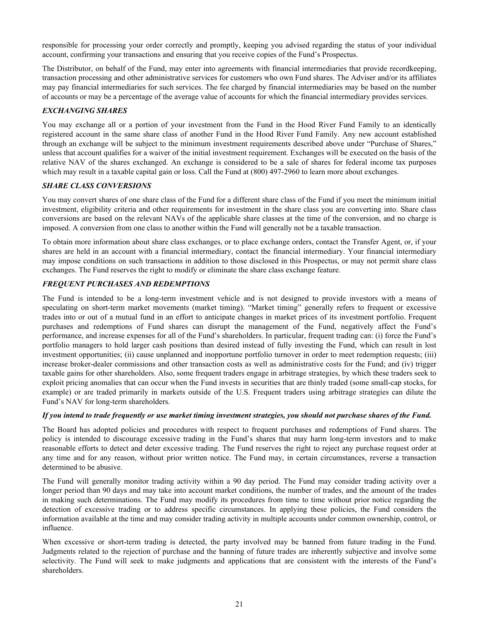<span id="page-23-0"></span>responsible for processing your order correctly and promptly, keeping you advised regarding the status of your individual account, confirming your transactions and ensuring that you receive copies of the Fund's Prospectus.

The Distributor, on behalf of the Fund, may enter into agreements with financial intermediaries that provide recordkeeping, transaction processing and other administrative services for customers who own Fund shares. The Adviser and/or its affiliates may pay financial intermediaries for such services. The fee charged by financial intermediaries may be based on the number of accounts or may be a percentage of the average value of accounts for which the financial intermediary provides services.

#### *EXCHANGING SHARES*

You may exchange all or a portion of your investment from the Fund in the Hood River Fund Family to an identically registered account in the same share class of another Fund in the Hood River Fund Family. Any new account established through an exchange will be subject to the minimum investment requirements described above under "Purchase of Shares," unless that account qualifies for a waiver of the initial investment requirement. Exchanges will be executed on the basis of the relative NAV of the shares exchanged. An exchange is considered to be a sale of shares for federal income tax purposes which may result in a taxable capital gain or loss. Call the Fund at  $(800)$  497-2960 to learn more about exchanges.

#### *SHARE CLASS CONVERSIONS*

You may convert shares of one share class of the Fund for a different share class of the Fund if you meet the minimum initial investment, eligibility criteria and other requirements for investment in the share class you are converting into. Share class conversions are based on the relevant NAVs of the applicable share classes at the time of the conversion, and no charge is imposed. A conversion from one class to another within the Fund will generally not be a taxable transaction.

To obtain more information about share class exchanges, or to place exchange orders, contact the Transfer Agent, or, if your shares are held in an account with a financial intermediary, contact the financial intermediary. Your financial intermediary may impose conditions on such transactions in addition to those disclosed in this Prospectus, or may not permit share class exchanges. The Fund reserves the right to modify or eliminate the share class exchange feature.

### *FREQUENT PURCHASES AND REDEMPTIONS*

The Fund is intended to be a long-term investment vehicle and is not designed to provide investors with a means of speculating on short-term market movements (market timing). "Market timing" generally refers to frequent or excessive trades into or out of a mutual fund in an effort to anticipate changes in market prices of its investment portfolio. Frequent purchases and redemptions of Fund shares can disrupt the management of the Fund, negatively affect the Fund's performance, and increase expenses for all of the Fund's shareholders. In particular, frequent trading can: (i) force the Fund's portfolio managers to hold larger cash positions than desired instead of fully investing the Fund, which can result in lost investment opportunities; (ii) cause unplanned and inopportune portfolio turnover in order to meet redemption requests; (iii) increase broker-dealer commissions and other transaction costs as well as administrative costs for the Fund; and (iv) trigger taxable gains for other shareholders. Also, some frequent traders engage in arbitrage strategies, by which these traders seek to exploit pricing anomalies that can occur when the Fund invests in securities that are thinly traded (some small-cap stocks, for example) or are traded primarily in markets outside of the U.S. Frequent traders using arbitrage strategies can dilute the Fund's NAV for long-term shareholders.

#### *If you intend to trade frequently or use market timing investment strategies, you should not purchase shares of the Fund.*

The Board has adopted policies and procedures with respect to frequent purchases and redemptions of Fund shares. The policy is intended to discourage excessive trading in the Fund's shares that may harm long-term investors and to make reasonable efforts to detect and deter excessive trading. The Fund reserves the right to reject any purchase request order at any time and for any reason, without prior written notice. The Fund may, in certain circumstances, reverse a transaction determined to be abusive.

The Fund will generally monitor trading activity within a 90 day period. The Fund may consider trading activity over a longer period than 90 days and may take into account market conditions, the number of trades, and the amount of the trades in making such determinations. The Fund may modify its procedures from time to time without prior notice regarding the detection of excessive trading or to address specific circumstances. In applying these policies, the Fund considers the information available at the time and may consider trading activity in multiple accounts under common ownership, control, or influence.

When excessive or short-term trading is detected, the party involved may be banned from future trading in the Fund. Judgments related to the rejection of purchase and the banning of future trades are inherently subjective and involve some selectivity. The Fund will seek to make judgments and applications that are consistent with the interests of the Fund's shareholders.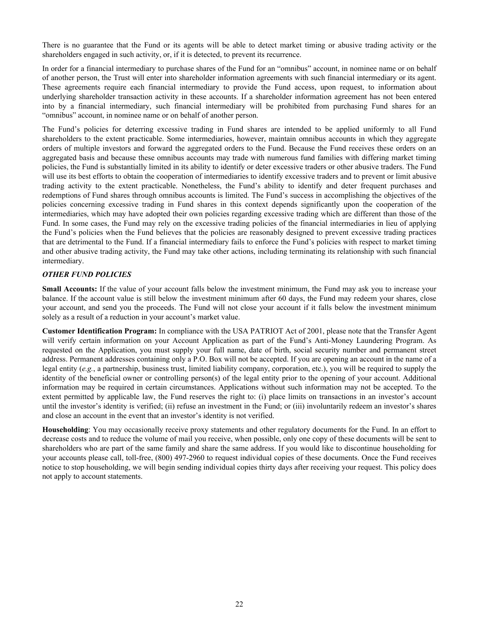<span id="page-24-0"></span>There is no guarantee that the Fund or its agents will be able to detect market timing or abusive trading activity or the shareholders engaged in such activity, or, if it is detected, to prevent its recurrence.

In order for a financial intermediary to purchase shares of the Fund for an "omnibus" account, in nominee name or on behalf of another person, the Trust will enter into shareholder information agreements with such financial intermediary or its agent. These agreements require each financial intermediary to provide the Fund access, upon request, to information about underlying shareholder transaction activity in these accounts. If a shareholder information agreement has not been entered into by a financial intermediary, such financial intermediary will be prohibited from purchasing Fund shares for an "omnibus" account, in nominee name or on behalf of another person.

The Fund's policies for deterring excessive trading in Fund shares are intended to be applied uniformly to all Fund shareholders to the extent practicable. Some intermediaries, however, maintain omnibus accounts in which they aggregate orders of multiple investors and forward the aggregated orders to the Fund. Because the Fund receives these orders on an aggregated basis and because these omnibus accounts may trade with numerous fund families with differing market timing policies, the Fund is substantially limited in its ability to identify or deter excessive traders or other abusive traders. The Fund will use its best efforts to obtain the cooperation of intermediaries to identify excessive traders and to prevent or limit abusive trading activity to the extent practicable. Nonetheless, the Fund's ability to identify and deter frequent purchases and redemptions of Fund shares through omnibus accounts is limited. The Fund's success in accomplishing the objectives of the policies concerning excessive trading in Fund shares in this context depends significantly upon the cooperation of the intermediaries, which may have adopted their own policies regarding excessive trading which are different than those of the Fund. In some cases, the Fund may rely on the excessive trading policies of the financial intermediaries in lieu of applying the Fund's policies when the Fund believes that the policies are reasonably designed to prevent excessive trading practices that are detrimental to the Fund. If a financial intermediary fails to enforce the Fund's policies with respect to market timing and other abusive trading activity, the Fund may take other actions, including terminating its relationship with such financial intermediary.

#### *OTHER FUND POLICIES*

**Small Accounts:** If the value of your account falls below the investment minimum, the Fund may ask you to increase your balance. If the account value is still below the investment minimum after 60 days, the Fund may redeem your shares, close your account, and send you the proceeds. The Fund will not close your account if it falls below the investment minimum solely as a result of a reduction in your account's market value.

**Customer Identification Program:** In compliance with the USA PATRIOT Act of 2001, please note that the Transfer Agent will verify certain information on your Account Application as part of the Fund's Anti-Money Laundering Program. As requested on the Application, you must supply your full name, date of birth, social security number and permanent street address. Permanent addresses containing only a P.O. Box will not be accepted. If you are opening an account in the name of a legal entity (*e.g.*, a partnership, business trust, limited liability company, corporation, etc.), you will be required to supply the identity of the beneficial owner or controlling person(s) of the legal entity prior to the opening of your account. Additional information may be required in certain circumstances. Applications without such information may not be accepted. To the extent permitted by applicable law, the Fund reserves the right to: (i) place limits on transactions in an investor's account until the investor's identity is verified; (ii) refuse an investment in the Fund; or (iii) involuntarily redeem an investor's shares and close an account in the event that an investor's identity is not verified.

**Householding**: You may occasionally receive proxy statements and other regulatory documents for the Fund. In an effort to decrease costs and to reduce the volume of mail you receive, when possible, only one copy of these documents will be sent to shareholders who are part of the same family and share the same address. If you would like to discontinue householding for your accounts please call, toll-free, (800) 497-2960 to request individual copies of these documents. Once the Fund receives notice to stop householding, we will begin sending individual copies thirty days after receiving your request. This policy does not apply to account statements.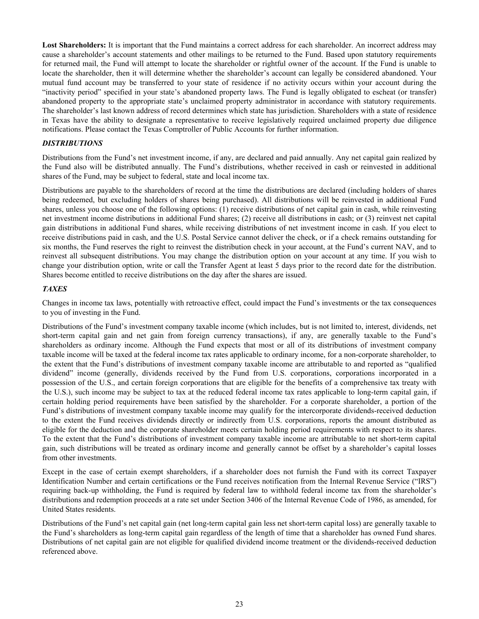<span id="page-25-0"></span>**Lost Shareholders:** It is important that the Fund maintains a correct address for each shareholder. An incorrect address may cause a shareholder's account statements and other mailings to be returned to the Fund. Based upon statutory requirements for returned mail, the Fund will attempt to locate the shareholder or rightful owner of the account. If the Fund is unable to locate the shareholder, then it will determine whether the shareholder's account can legally be considered abandoned. Your mutual fund account may be transferred to your state of residence if no activity occurs within your account during the "inactivity period" specified in your state's abandoned property laws. The Fund is legally obligated to escheat (or transfer) abandoned property to the appropriate state's unclaimed property administrator in accordance with statutory requirements. The shareholder's last known address of record determines which state has jurisdiction. Shareholders with a state of residence in Texas have the ability to designate a representative to receive legislatively required unclaimed property due diligence notifications. Please contact the Texas Comptroller of Public Accounts for further information.

#### *DISTRIBUTIONS*

Distributions from the Fund's net investment income, if any, are declared and paid annually. Any net capital gain realized by the Fund also will be distributed annually. The Fund's distributions, whether received in cash or reinvested in additional shares of the Fund, may be subject to federal, state and local income tax.

Distributions are payable to the shareholders of record at the time the distributions are declared (including holders of shares being redeemed, but excluding holders of shares being purchased). All distributions will be reinvested in additional Fund shares, unless you choose one of the following options: (1) receive distributions of net capital gain in cash, while reinvesting net investment income distributions in additional Fund shares; (2) receive all distributions in cash; or (3) reinvest net capital gain distributions in additional Fund shares, while receiving distributions of net investment income in cash. If you elect to receive distributions paid in cash, and the U.S. Postal Service cannot deliver the check, or if a check remains outstanding for six months, the Fund reserves the right to reinvest the distribution check in your account, at the Fund's current NAV, and to reinvest all subsequent distributions. You may change the distribution option on your account at any time. If you wish to change your distribution option, write or call the Transfer Agent at least 5 days prior to the record date for the distribution. Shares become entitled to receive distributions on the day after the shares are issued.

#### *TAXES*

Changes in income tax laws, potentially with retroactive effect, could impact the Fund's investments or the tax consequences to you of investing in the Fund.

Distributions of the Fund's investment company taxable income (which includes, but is not limited to, interest, dividends, net short-term capital gain and net gain from foreign currency transactions), if any, are generally taxable to the Fund's shareholders as ordinary income. Although the Fund expects that most or all of its distributions of investment company taxable income will be taxed at the federal income tax rates applicable to ordinary income, for a non-corporate shareholder, to the extent that the Fund's distributions of investment company taxable income are attributable to and reported as "qualified dividend" income (generally, dividends received by the Fund from U.S. corporations, corporations incorporated in a possession of the U.S., and certain foreign corporations that are eligible for the benefits of a comprehensive tax treaty with the U.S.), such income may be subject to tax at the reduced federal income tax rates applicable to long-term capital gain, if certain holding period requirements have been satisfied by the shareholder. For a corporate shareholder, a portion of the Fund's distributions of investment company taxable income may qualify for the intercorporate dividends-received deduction to the extent the Fund receives dividends directly or indirectly from U.S. corporations, reports the amount distributed as eligible for the deduction and the corporate shareholder meets certain holding period requirements with respect to its shares. To the extent that the Fund's distributions of investment company taxable income are attributable to net short-term capital gain, such distributions will be treated as ordinary income and generally cannot be offset by a shareholder's capital losses from other investments.

Except in the case of certain exempt shareholders, if a shareholder does not furnish the Fund with its correct Taxpayer Identification Number and certain certifications or the Fund receives notification from the Internal Revenue Service ("IRS") requiring back-up withholding, the Fund is required by federal law to withhold federal income tax from the shareholder's distributions and redemption proceeds at a rate set under Section 3406 of the Internal Revenue Code of 1986, as amended, for United States residents.

Distributions of the Fund's net capital gain (net long-term capital gain less net short-term capital loss) are generally taxable to the Fund's shareholders as long-term capital gain regardless of the length of time that a shareholder has owned Fund shares. Distributions of net capital gain are not eligible for qualified dividend income treatment or the dividends-received deduction referenced above.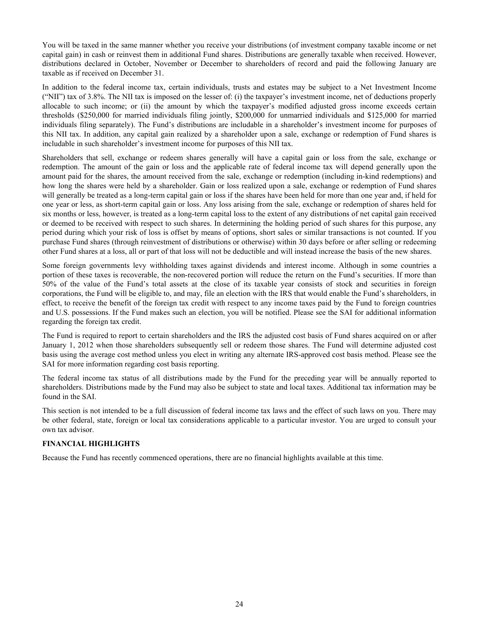<span id="page-26-0"></span>You will be taxed in the same manner whether you receive your distributions (of investment company taxable income or net capital gain) in cash or reinvest them in additional Fund shares. Distributions are generally taxable when received. However, distributions declared in October, November or December to shareholders of record and paid the following January are taxable as if received on December 31.

In addition to the federal income tax, certain individuals, trusts and estates may be subject to a Net Investment Income ("NII") tax of 3.8%. The NII tax is imposed on the lesser of: (i) the taxpayer's investment income, net of deductions properly allocable to such income; or (ii) the amount by which the taxpayer's modified adjusted gross income exceeds certain thresholds (\$250,000 for married individuals filing jointly, \$200,000 for unmarried individuals and \$125,000 for married individuals filing separately). The Fund's distributions are includable in a shareholder's investment income for purposes of this NII tax. In addition, any capital gain realized by a shareholder upon a sale, exchange or redemption of Fund shares is includable in such shareholder's investment income for purposes of this NII tax.

Shareholders that sell, exchange or redeem shares generally will have a capital gain or loss from the sale, exchange or redemption. The amount of the gain or loss and the applicable rate of federal income tax will depend generally upon the amount paid for the shares, the amount received from the sale, exchange or redemption (including in-kind redemptions) and how long the shares were held by a shareholder. Gain or loss realized upon a sale, exchange or redemption of Fund shares will generally be treated as a long-term capital gain or loss if the shares have been held for more than one year and, if held for one year or less, as short-term capital gain or loss. Any loss arising from the sale, exchange or redemption of shares held for six months or less, however, is treated as a long-term capital loss to the extent of any distributions of net capital gain received or deemed to be received with respect to such shares. In determining the holding period of such shares for this purpose, any period during which your risk of loss is offset by means of options, short sales or similar transactions is not counted. If you purchase Fund shares (through reinvestment of distributions or otherwise) within 30 days before or after selling or redeeming other Fund shares at a loss, all or part of that loss will not be deductible and will instead increase the basis of the new shares.

Some foreign governments levy withholding taxes against dividends and interest income. Although in some countries a portion of these taxes is recoverable, the non-recovered portion will reduce the return on the Fund's securities. If more than 50% of the value of the Fund's total assets at the close of its taxable year consists of stock and securities in foreign corporations, the Fund will be eligible to, and may, file an election with the IRS that would enable the Fund's shareholders, in effect, to receive the benefit of the foreign tax credit with respect to any income taxes paid by the Fund to foreign countries and U.S. possessions. If the Fund makes such an election, you will be notified. Please see the SAI for additional information regarding the foreign tax credit.

The Fund is required to report to certain shareholders and the IRS the adjusted cost basis of Fund shares acquired on or after January 1, 2012 when those shareholders subsequently sell or redeem those shares. The Fund will determine adjusted cost basis using the average cost method unless you elect in writing any alternate IRS-approved cost basis method. Please see the SAI for more information regarding cost basis reporting.

The federal income tax status of all distributions made by the Fund for the preceding year will be annually reported to shareholders. Distributions made by the Fund may also be subject to state and local taxes. Additional tax information may be found in the SAI.

This section is not intended to be a full discussion of federal income tax laws and the effect of such laws on you. There may be other federal, state, foreign or local tax considerations applicable to a particular investor. You are urged to consult your own tax advisor.

#### **FINANCIAL HIGHLIGHTS**

Because the Fund has recently commenced operations, there are no financial highlights available at this time.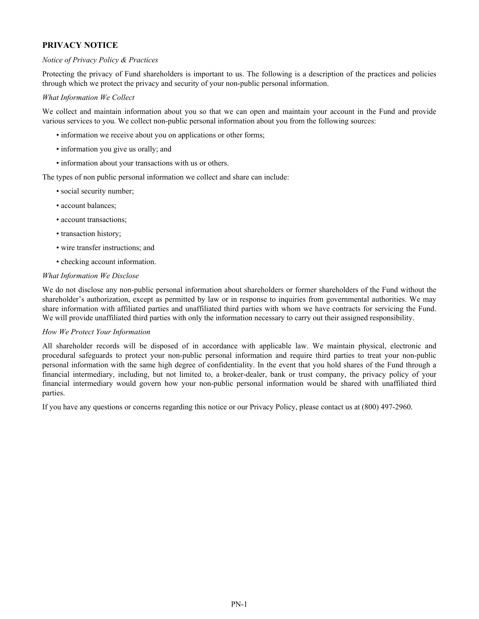# <span id="page-27-0"></span>**PRIVACY NOTICE**

#### *Notice of Privacy Policy & Practices*

Protecting the privacy of Fund shareholders is important to us. The following is a description of the practices and policies through which we protect the privacy and security of your non-public personal information.

#### *What Information We Collect*

We collect and maintain information about you so that we can open and maintain your account in the Fund and provide various services to you. We collect non-public personal information about you from the following sources:

- information we receive about you on applications or other forms;
- information you give us orally; and
- information about your transactions with us or others.

The types of non public personal information we collect and share can include:

- social security number;
- account balances;
- account transactions;
- transaction history;
- wire transfer instructions; and
- checking account information.

#### *What Information We Disclose*

We do not disclose any non-public personal information about shareholders or former shareholders of the Fund without the shareholder's authorization, except as permitted by law or in response to inquiries from governmental authorities. We may share information with affiliated parties and unaffiliated third parties with whom we have contracts for servicing the Fund. We will provide unaffiliated third parties with only the information necessary to carry out their assigned responsibility.

#### *How We Protect Your Information*

All shareholder records will be disposed of in accordance with applicable law. We maintain physical, electronic and procedural safeguards to protect your non-public personal information and require third parties to treat your non-public personal information with the same high degree of confidentiality. In the event that you hold shares of the Fund through a financial intermediary, including, but not limited to, a broker-dealer, bank or trust company, the privacy policy of your financial intermediary would govern how your non-public personal information would be shared with unaffiliated third parties.

If you have any questions or concerns regarding this notice or our Privacy Policy, please contact us at (800) 497-2960.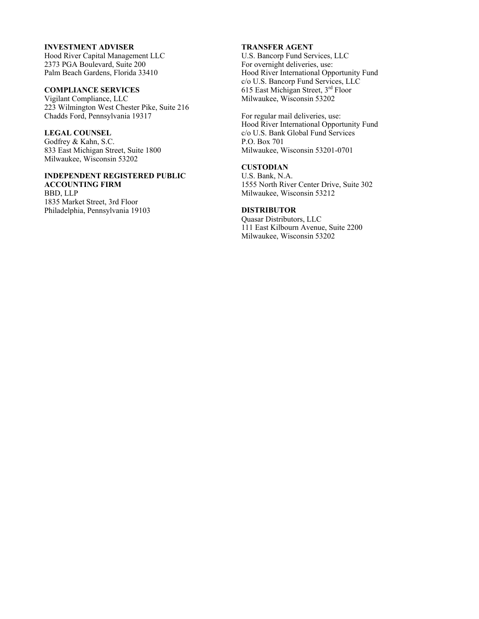#### **INVESTMENT ADVISER**

Hood River Capital Management LLC 2373 PGA Boulevard, Suite 200 Palm Beach Gardens, Florida 33410

# **COMPLIANCE SERVICES**

Vigilant Compliance, LLC 223 Wilmington West Chester Pike, Suite 216 Chadds Ford, Pennsylvania 19317

#### **LEGAL COUNSEL**

Godfrey & Kahn, S.C. 833 East Michigan Street, Suite 1800 Milwaukee, Wisconsin 53202

#### **INDEPENDENT REGISTERED PUBLIC ACCOUNTING FIRM**

BBD, LLP 1835 Market Street, 3rd Floor Philadelphia, Pennsylvania 19103

#### **TRANSFER AGENT**

U.S. Bancorp Fund Services, LLC For overnight deliveries, use: Hood River International Opportunity Fund c/o U.S. Bancorp Fund Services, LLC 615 East Michigan Street, 3rd Floor Milwaukee, Wisconsin 53202

For regular mail deliveries, use: Hood River International Opportunity Fund c/o U.S. Bank Global Fund Services P.O. Box 701 Milwaukee, Wisconsin 53201-0701

# **CUSTODIAN**

U.S. Bank, N.A. 1555 North River Center Drive, Suite 302 Milwaukee, Wisconsin 53212

#### **DISTRIBUTOR**

Quasar Distributors, LLC 111 East Kilbourn Avenue, Suite 2200 Milwaukee, Wisconsin 53202